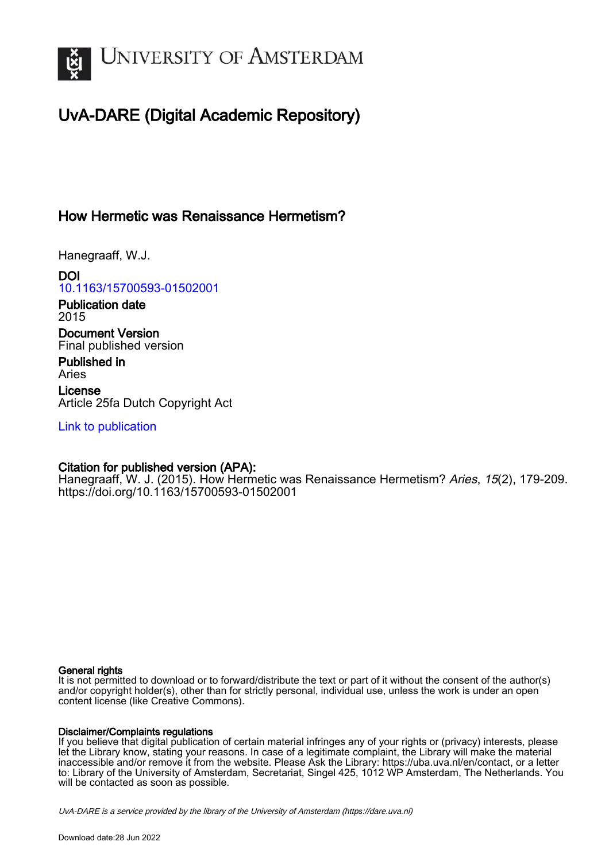

# UvA-DARE (Digital Academic Repository)

## How Hermetic was Renaissance Hermetism?

Hanegraaff, W.J.

DOI [10.1163/15700593-01502001](https://doi.org/10.1163/15700593-01502001)

Publication date 2015 Document Version Final published version

Published in Aries

License Article 25fa Dutch Copyright Act

[Link to publication](https://dare.uva.nl/personal/pure/en/publications/how-hermetic-was-renaissance-hermetism(e2747377-d280-4eb7-98a8-f611e9a77ea6).html)

### Citation for published version (APA):

Hanegraaff, W. J. (2015). How Hermetic was Renaissance Hermetism? Aries, 15(2), 179-209. <https://doi.org/10.1163/15700593-01502001>

#### General rights

It is not permitted to download or to forward/distribute the text or part of it without the consent of the author(s) and/or copyright holder(s), other than for strictly personal, individual use, unless the work is under an open content license (like Creative Commons).

#### Disclaimer/Complaints regulations

If you believe that digital publication of certain material infringes any of your rights or (privacy) interests, please let the Library know, stating your reasons. In case of a legitimate complaint, the Library will make the material inaccessible and/or remove it from the website. Please Ask the Library: https://uba.uva.nl/en/contact, or a letter to: Library of the University of Amsterdam, Secretariat, Singel 425, 1012 WP Amsterdam, The Netherlands. You will be contacted as soon as possible.

UvA-DARE is a service provided by the library of the University of Amsterdam (http*s*://dare.uva.nl)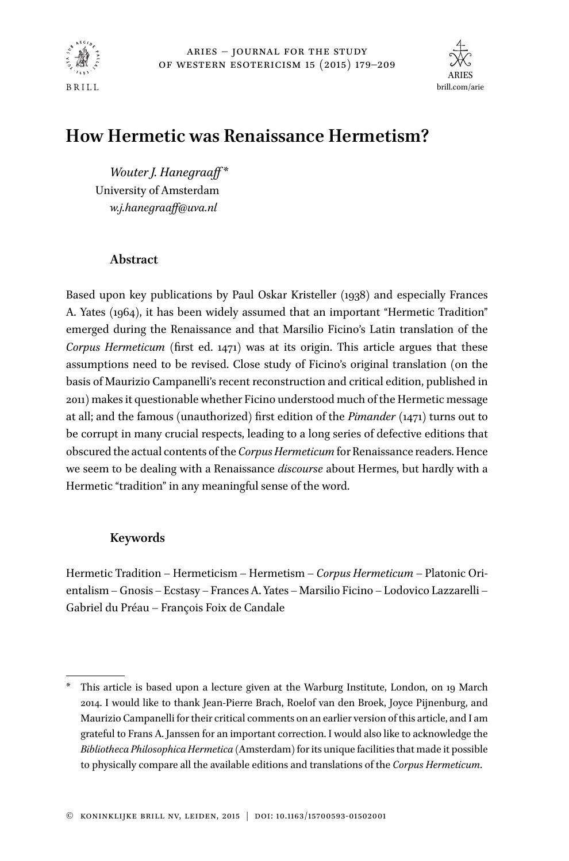



## <span id="page-1-0"></span>**How Hermetic was Renaissance Hermetism?**

*Wouter J. Hanegraaff* \* University of Amsterdam *[w.j.hanegraaff@uva.nl](mailto:w.j.hanegraaff@uva.nl)*

#### **Abstract**

Based upon key publications by Paul Oskar Kristeller (1938) and especially Frances A. Yates (1964), it has been widely assumed that an important "Hermetic Tradition" emerged during the Renaissance and that Marsilio Ficino's Latin translation of the *Corpus Hermeticum* (first ed. 1471) was at its origin. This article argues that these assumptions need to be revised. Close study of Ficino's original translation (on the basis of Maurizio Campanelli's recent reconstruction and critical edition, published in 2011) makes it questionable whether Ficino understood much of the Hermetic message at all; and the famous (unauthorized) first edition of the *Pimander* (1471) turns out to be corrupt in many crucial respects, leading to a long series of defective editions that obscured the actual contents of the *Corpus Hermeticum*for Renaissance readers. Hence we seem to be dealing with a Renaissance *discourse* about Hermes, but hardly with a Hermetic "tradition" in any meaningful sense of the word.

#### **Keywords**

Hermetic Tradition – Hermeticism – Hermetism – *Corpus Hermeticum* – Platonic Orientalism – Gnosis – Ecstasy – Frances A. Yates – Marsilio Ficino – Lodovico Lazzarelli – Gabriel du Préau – François Foix de Candale

This article is based upon a lecture given at the Warburg Institute, London, on 19 March 2014. I would like to thank Jean-Pierre Brach, Roelof van den Broek, Joyce Pijnenburg, and Maurizio Campanelli for their critical comments on an earlier version of this article, and I am grateful to Frans A. Janssen for an important correction. I would also like to acknowledge the *Bibliotheca Philosophica Hermetica* (Amsterdam) for its unique facilities that made it possible to physically compare all the available editions and translations of the *Corpus Hermeticum*.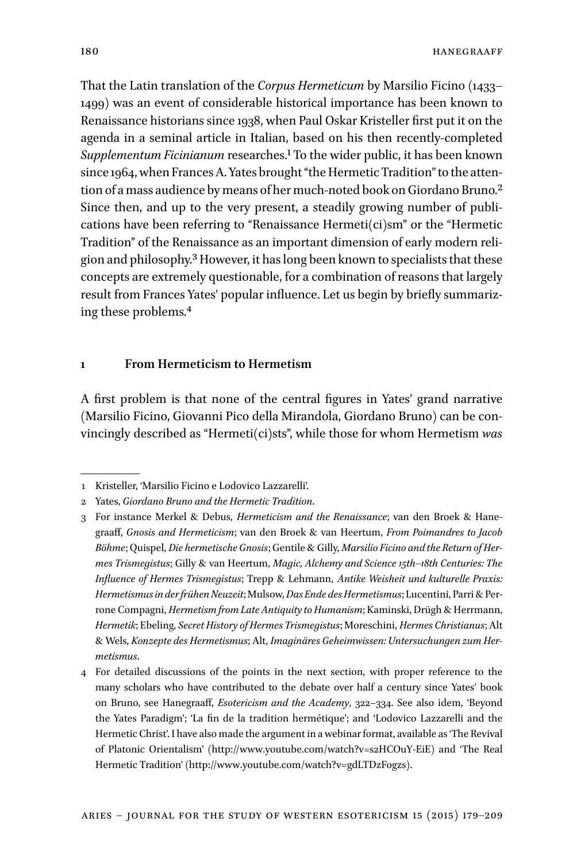180 hanegraaf hanegraaf is beskriuw in de koning van de koning van de koning van de koning van de koning van de koning van de koning van de koning van de koning van de koning van de koning van de koning van de koning van d

That the Latin translation of the *Corpus Hermeticum* by Marsilio Ficino (1433– 1499) was an event of considerable historical importance has been known to Renaissance historians since 1938, when Paul Oskar Kristeller first put it on the agenda in a seminal article in Italian, based on his then recently-completed *Supplementum Ficinianum* researches.1 To the wider public, it has been known since 1964, when Frances A. Yates brought "the Hermetic Tradition" to the attention of a mass audience by means of her much-noted book on Giordano Bruno.2 Since then, and up to the very present, a steadily growing number of publications have been referring to "Renaissance Hermeti(ci)sm" or the "Hermetic Tradition" of the Renaissance as an important dimension of early modern religion and philosophy.<sup>3</sup> However, it has long been known to specialists that these concepts are extremely questionable, for a combination of reasons that largely result from Frances Yates' popular influence. Let us begin by briefly summarizing these problems.4

#### **1 From Hermeticism to Hermetism**

A first problem is that none of the central figures in Yates' grand narrative (Marsilio Ficino, Giovanni Pico della Mirandola, Giordano Bruno) can be convincingly described as "Hermeti(ci)sts", while those for whom Hermetism *was*

<sup>1</sup> Kristeller, 'Marsilio Ficino e Lodovico Lazzarelli'.

<sup>2</sup> Yates, *Giordano Bruno and the Hermetic Tradition*.

<sup>3</sup> For instance Merkel & Debus, *Hermeticism and the Renaissance*; van den Broek & Hanegraaff, *Gnosis and Hermeticism*; van den Broek & van Heertum, *From Poimandres to Jacob Böhme*; Quispel, *Die hermetische Gnosis*; Gentile & Gilly, *Marsilio Ficino and the Return of Hermes Trismegistus*; Gilly & van Heertum, *Magic, Alchemy and Science 15th–18th Centuries: The Influence of Hermes Trismegistus*; Trepp & Lehmann, *Antike Weisheit und kulturelle Praxis: Hermetismus in der frühen Neuzeit*; Mulsow, *Das Ende desHermetismus*; Lucentini, Parri & Perrone Compagni, *Hermetism from Late Antiquity to Humanism*; Kaminski, Drügh & Herrmann, *Hermetik*; Ebeling, *Secret History of Hermes Trismegistus*; Moreschini, *Hermes Christianus*; Alt & Wels, *Konzepte des Hermetismus*; Alt, *Imaginäres Geheimwissen: Untersuchungen zum Hermetismus*.

<sup>4</sup> For detailed discussions of the points in the next section, with proper reference to the many scholars who have contributed to the debate over half a century since Yates' book on Bruno, see Hanegraaff, *Esotericism and the Academy*, 322–334. See also idem, 'Beyond the Yates Paradigm'; 'La fin de la tradition hermétique'; and 'Lodovico Lazzarelli and the Hermetic Christ'. I have also made the argument in a webinar format, available as 'The Revival of Platonic Orientalism'([http://www.youtube.com/watch?v=s2HCOuY-EiE\)](http://www.youtube.com/watch?v=s2HCOuY-EiE) and 'The Real Hermetic Tradition' [\(http://www.youtube.com/watch?v=gdLTDzFogzs\)](http://www.youtube.com/watch?v=gdLTDzFogzs).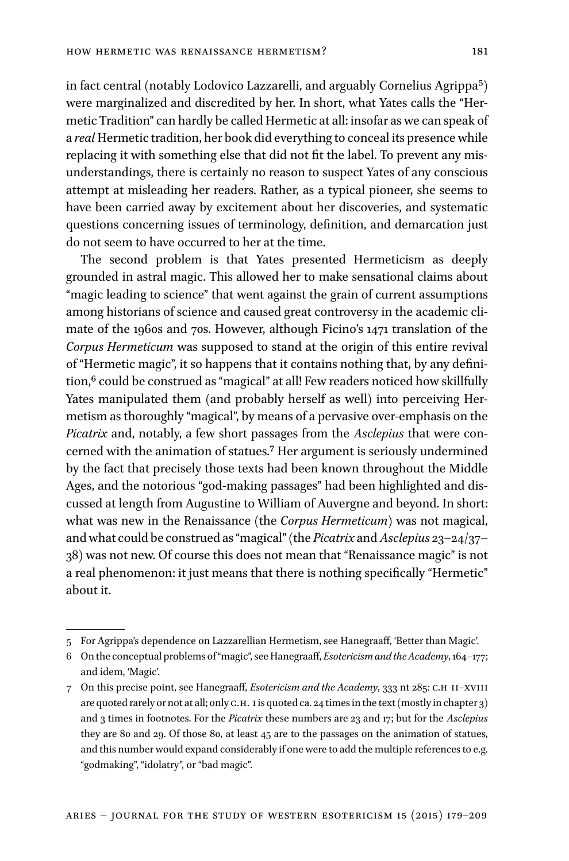in fact central (notably Lodovico Lazzarelli, and arguably Cornelius Agrippa5) were marginalized and discredited by her. In short, what Yates calls the "Hermetic Tradition" can hardly be called Hermetic at all: insofar as we can speak of a *real* Hermetic tradition, her book did everything to conceal its presence while replacing it with something else that did not fit the label. To prevent any misunderstandings, there is certainly no reason to suspect Yates of any conscious attempt at misleading her readers. Rather, as a typical pioneer, she seems to have been carried away by excitement about her discoveries, and systematic questions concerning issues of terminology, definition, and demarcation just do not seem to have occurred to her at the time.

The second problem is that Yates presented Hermeticism as deeply grounded in astral magic. This allowed her to make sensational claims about "magic leading to science" that went against the grain of current assumptions among historians of science and caused great controversy in the academic climate of the 1960s and 70s. However, although Ficino's 1471 translation of the *Corpus Hermeticum* was supposed to stand at the origin of this entire revival of "Hermetic magic", it so happens that it contains nothing that, by any definition,<sup>6</sup> could be construed as "magical" at all! Few readers noticed how skillfully Yates manipulated them (and probably herself as well) into perceiving Hermetism as thoroughly "magical", by means of a pervasive over-emphasis on the *Picatrix* and, notably, a few short passages from the *Asclepius* that were concerned with the animation of statues.7 Her argument is seriously undermined by the fact that precisely those texts had been known throughout the Middle Ages, and the notorious "god-making passages" had been highlighted and discussed at length from Augustine to William of Auvergne and beyond. In short: what was new in the Renaissance (the *Corpus Hermeticum*) was not magical, and what could be construed as"magical" (the *Picatrix* and *Asclepius* 23–24/37– 38) was not new. Of course this does not mean that "Renaissance magic" is not a real phenomenon: it just means that there is nothing specifically "Hermetic" about it.

<sup>5</sup> For Agrippa's dependence on Lazzarellian Hermetism, see Hanegraaff, 'Better than Magic'.

<sup>6</sup> On the conceptual problems of"magic", see Hanegraaff, *Esotericism andthe Academy*,164–177; and idem, 'Magic'.

<sup>7</sup> On this precise point, see Hanegraaff, *Esotericism and the Academy*, 333 nt 285: c.h ii–xviii are quoted rarely or not at all; only C.H. I is quoted ca. 24 times in the text (mostly in chapter 3) and 3 times in footnotes. For the *Picatrix* these numbers are 23 and 17; but for the *Asclepius* they are 80 and 29. Of those 80, at least 45 are to the passages on the animation of statues, and this number would expand considerably if one were to add the multiple references to e.g. "godmaking", "idolatry", or "bad magic".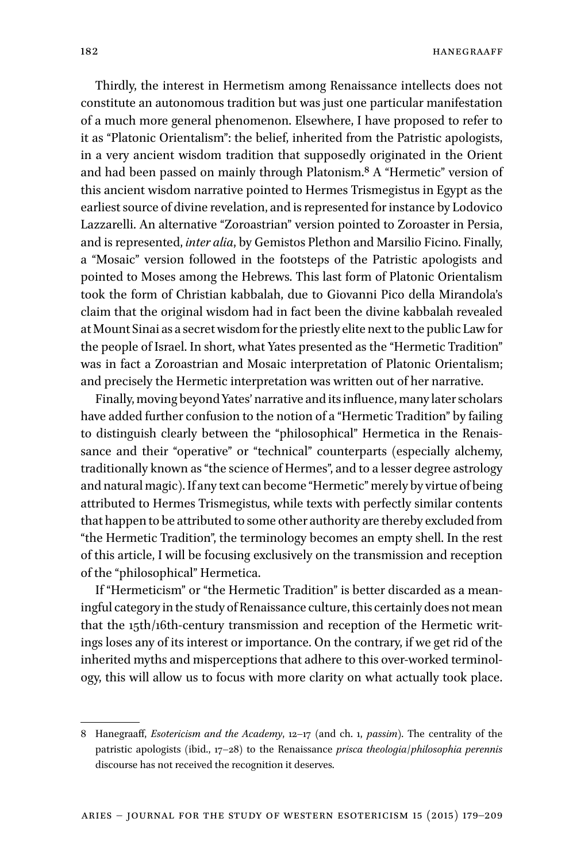182 hanegraaf hanegraaf hanegraaf hanegraaf hanegraaf hanegraaf hanegraaf hanegraaf hanegraaf hanegraaf haneg

Thirdly, the interest in Hermetism among Renaissance intellects does not constitute an autonomous tradition but was just one particular manifestation of a much more general phenomenon. Elsewhere, I have proposed to refer to it as "Platonic Orientalism": the belief, inherited from the Patristic apologists, in a very ancient wisdom tradition that supposedly originated in the Orient and had been passed on mainly through Platonism.8 A "Hermetic" version of this ancient wisdom narrative pointed to Hermes Trismegistus in Egypt as the earliest source of divine revelation, and is represented for instance by Lodovico Lazzarelli. An alternative "Zoroastrian" version pointed to Zoroaster in Persia, and is represented, *inter alia*, by Gemistos Plethon and Marsilio Ficino. Finally, a "Mosaic" version followed in the footsteps of the Patristic apologists and pointed to Moses among the Hebrews. This last form of Platonic Orientalism took the form of Christian kabbalah, due to Giovanni Pico della Mirandola's claim that the original wisdom had in fact been the divine kabbalah revealed at Mount Sinai as a secret wisdom for the priestly elite next to the public Law for the people of Israel. In short, what Yates presented as the "Hermetic Tradition" was in fact a Zoroastrian and Mosaic interpretation of Platonic Orientalism; and precisely the Hermetic interpretation was written out of her narrative.

Finally, moving beyond Yates' narrative and its influence, many later scholars have added further confusion to the notion of a "Hermetic Tradition" by failing to distinguish clearly between the "philosophical" Hermetica in the Renaissance and their "operative" or "technical" counterparts (especially alchemy, traditionally known as "the science of Hermes", and to a lesser degree astrology and natural magic).If any text can become"Hermetic" merely by virtue of being attributed to Hermes Trismegistus, while texts with perfectly similar contents that happen to be attributed to some other authority are thereby excluded from "the Hermetic Tradition", the terminology becomes an empty shell. In the rest of this article, I will be focusing exclusively on the transmission and reception of the "philosophical" Hermetica.

If "Hermeticism" or "the Hermetic Tradition" is better discarded as a meaningful category in the study of Renaissance culture, this certainly does not mean that the 15th/16th-century transmission and reception of the Hermetic writings loses any of its interest or importance. On the contrary, if we get rid of the inherited myths and misperceptions that adhere to this over-worked terminology, this will allow us to focus with more clarity on what actually took place.

<sup>8</sup> Hanegraaff, *Esotericism and the Academy*, 12–17 (and ch. 1, *passim*). The centrality of the patristic apologists (ibid., 17–28) to the Renaissance *prisca theologia*/*philosophia perennis* discourse has not received the recognition it deserves.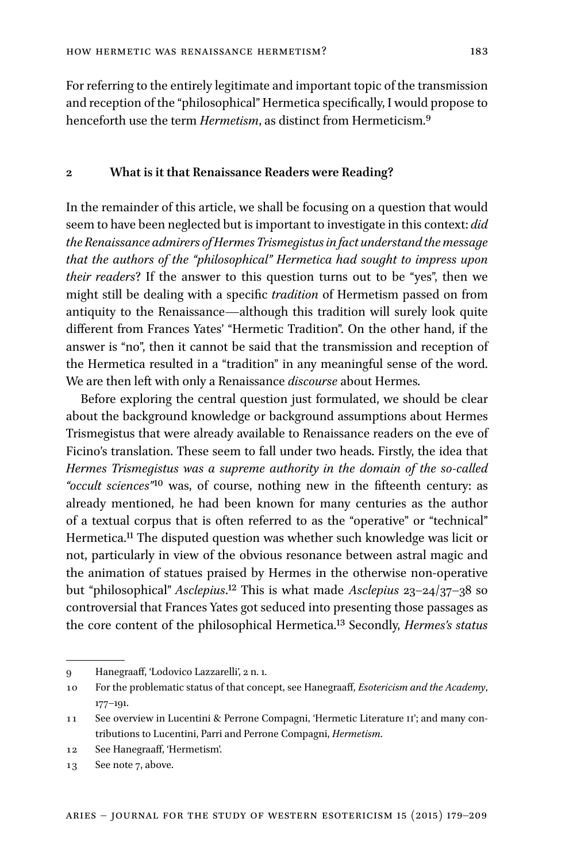For referring to the entirely legitimate and important topic of the transmission and reception of the "philosophical" Hermetica specifically, I would propose to henceforth use the term *Hermetism*, as distinct from Hermeticism.9

#### **2 What is it that Renaissance Readers were Reading?**

In the remainder of this article, we shall be focusing on a question that would seem to have been neglected but is important to investigate in this context: *did the Renaissance admirers of Hermes Trismegistus in fact understandthe message that the authors of the "philosophical" Hermetica had sought to impress upon their readers*? If the answer to this question turns out to be "yes", then we might still be dealing with a specific *tradition* of Hermetism passed on from antiquity to the Renaissance—although this tradition will surely look quite different from Frances Yates' "Hermetic Tradition". On the other hand, if the answer is "no", then it cannot be said that the transmission and reception of the Hermetica resulted in a "tradition" in any meaningful sense of the word. We are then left with only a Renaissance *discourse* about Hermes.

Before exploring the central question just formulated, we should be clear about the background knowledge or background assumptions about Hermes Trismegistus that were already available to Renaissance readers on the eve of Ficino's translation. These seem to fall under two heads. Firstly, the idea that *Hermes Trismegistus was a supreme authority in the domain of the so-called "occult sciences"*10 was, of course, nothing new in the fifteenth century: as already mentioned, he had been known for many centuries as the author of a textual corpus that is often referred to as the "operative" or "technical" Hermetica.<sup>11</sup> The disputed question was whether such knowledge was licit or not, particularly in view of the obvious resonance between astral magic and the animation of statues praised by Hermes in the otherwise non-operative but "philosophical" *Asclepius*.12 This is what made *Asclepius* 23–24/37–38 so controversial that Frances Yates got seduced into presenting those passages as the core content of the philosophical Hermetica.13 Secondly, *Hermes's status*

<sup>9</sup> Hanegraaff, 'Lodovico Lazzarelli', 2 n. 1.

<sup>10</sup> For the problematic status of that concept, see Hanegraaff, *Esotericism and the Academy*, 177–191.

<sup>11</sup> See overview in Lucentini & Perrone Compagni, 'Hermetic Literature ii'; and many contributions to Lucentini, Parri and Perrone Compagni, *Hermetism*.

<sup>12</sup> See Hanegraaff, 'Hermetism'.

<sup>13</sup> See note 7, above.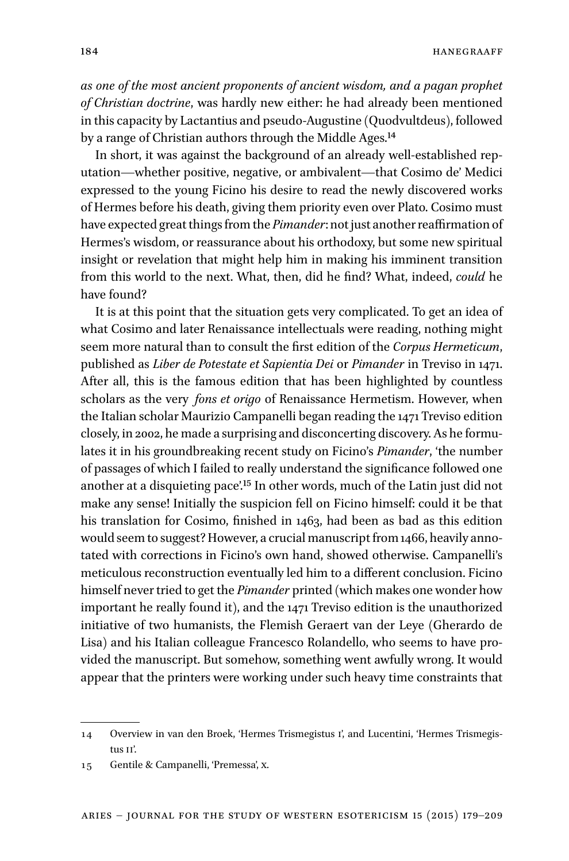184 hanegraaf hanegraaf hanegraaf hanegraaf hanegraaf hanegraaf hanegraaf hanegraaf hanegraaf hanegraaf hanegraaf h

*as one of the most ancient proponents of ancient wisdom, and a pagan prophet of Christian doctrine*, was hardly new either: he had already been mentioned in this capacity by Lactantius and pseudo-Augustine (Quodvultdeus), followed by a range of Christian authors through the Middle Ages.14

In short, it was against the background of an already well-established reputation—whether positive, negative, or ambivalent—that Cosimo de' Medici expressed to the young Ficino his desire to read the newly discovered works of Hermes before his death, giving them priority even over Plato. Cosimo must have expected great things from the *Pimander*: not just another reaffirmation of Hermes's wisdom, or reassurance about his orthodoxy, but some new spiritual insight or revelation that might help him in making his imminent transition from this world to the next. What, then, did he find? What, indeed, *could* he have found?

It is at this point that the situation gets very complicated. To get an idea of what Cosimo and later Renaissance intellectuals were reading, nothing might seem more natural than to consult the first edition of the *Corpus Hermeticum*, published as *Liber de Potestate et Sapientia Dei* or *Pimander* in Treviso in 1471. After all, this is the famous edition that has been highlighted by countless scholars as the very *fons et origo* of Renaissance Hermetism. However, when the Italian scholar Maurizio Campanelli began reading the 1471 Treviso edition closely, in 2002, he made a surprising and disconcerting discovery. As he formulates it in his groundbreaking recent study on Ficino's *Pimander*, 'the number of passages of which I failed to really understand the significance followed one another at a disquieting pace'.15 In other words, much of the Latin just did not make any sense! Initially the suspicion fell on Ficino himself: could it be that his translation for Cosimo, finished in 1463, had been as bad as this edition would seem to suggest? However, a crucial manuscript from1466, heavily annotated with corrections in Ficino's own hand, showed otherwise. Campanelli's meticulous reconstruction eventually led him to a different conclusion. Ficino himself never tried to get the *Pimander* printed (which makes one wonder how important he really found it), and the 1471 Treviso edition is the unauthorized initiative of two humanists, the Flemish Geraert van der Leye (Gherardo de Lisa) and his Italian colleague Francesco Rolandello, who seems to have provided the manuscript. But somehow, something went awfully wrong. It would appear that the printers were working under such heavy time constraints that

<sup>14</sup> Overview in van den Broek, 'Hermes Trismegistus i', and Lucentini, 'Hermes Trismegistus ii'.

<sup>15</sup> Gentile & Campanelli, 'Premessa', x.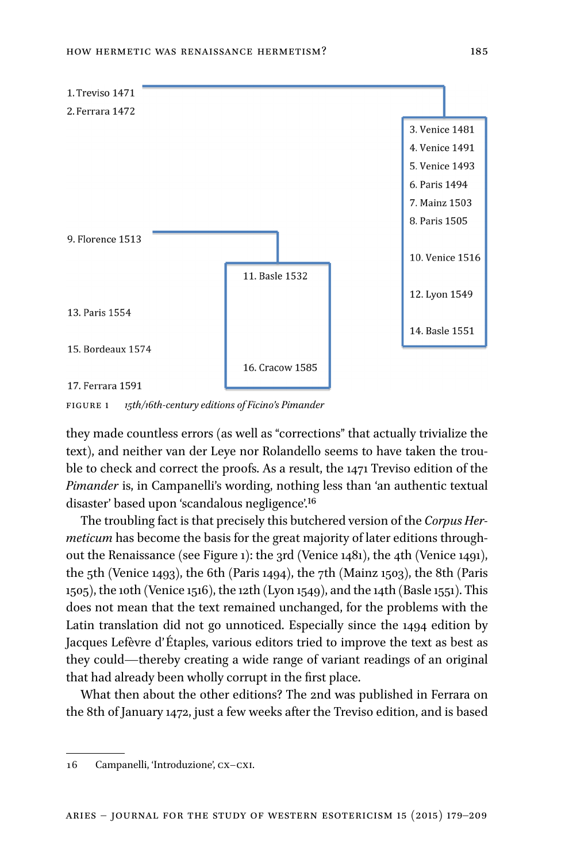

figure 1 *15th/16th-century editions of Ficino's Pimander*

they made countless errors (as well as "corrections" that actually trivialize the text), and neither van der Leye nor Rolandello seems to have taken the trouble to check and correct the proofs. As a result, the 1471 Treviso edition of the *Pimander* is, in Campanelli's wording, nothing less than 'an authentic textual disaster' based upon 'scandalous negligence'.16

The troubling fact is that precisely this butchered version of the *Corpus Hermeticum* has become the basis for the great majority of later editions throughout the Renaissance (see Figure 1): the 3rd (Venice 1481), the 4th (Venice 1491), the 5th (Venice 1493), the 6th (Paris 1494), the 7th (Mainz 1503), the 8th (Paris 1505), the 10th (Venice 1516), the 12th (Lyon 1549), and the 14th (Basle 1551). This does not mean that the text remained unchanged, for the problems with the Latin translation did not go unnoticed. Especially since the 1494 edition by Jacques Lefèvre d'Étaples, various editors tried to improve the text as best as they could—thereby creating a wide range of variant readings of an original that had already been wholly corrupt in the first place.

What then about the other editions? The 2nd was published in Ferrara on the 8th of January 1472, just a few weeks after the Treviso edition, and is based

<sup>16</sup> Campanelli, 'Introduzione', cx–cxi.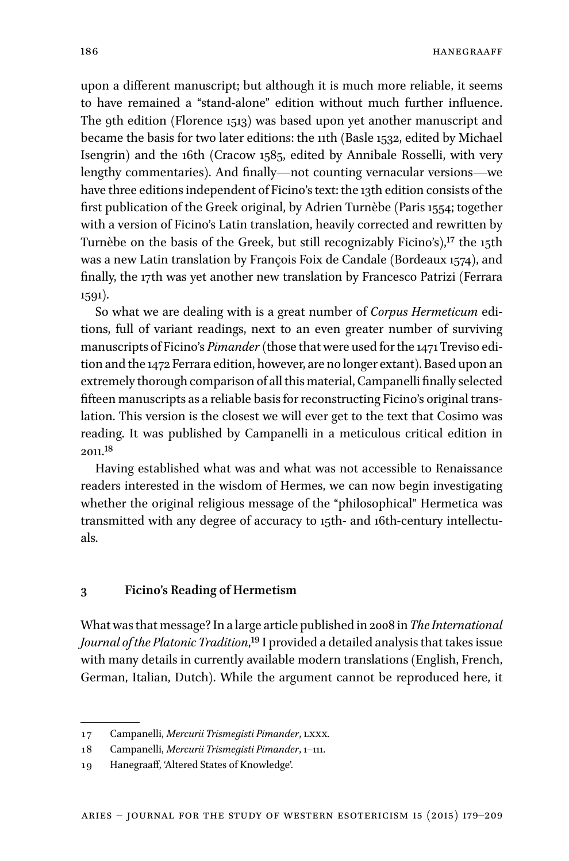186 hanegraaf hanegraaf is beskriuw in de groep hanegraaf hanegraaf hanegraaf hanegraaf hanegraaf hanegraaf h

upon a different manuscript; but although it is much more reliable, it seems to have remained a "stand-alone" edition without much further influence. The 9th edition (Florence 1513) was based upon yet another manuscript and became the basis for two later editions: the 11th (Basle 1532, edited by Michael Isengrin) and the 16th (Cracow 1585, edited by Annibale Rosselli, with very lengthy commentaries). And finally—not counting vernacular versions—we have three editions independent of Ficino's text: the 13th edition consists of the first publication of the Greek original, by Adrien Turnèbe (Paris 1554; together with a version of Ficino's Latin translation, heavily corrected and rewritten by Turnèbe on the basis of the Greek, but still recognizably Ficino's),<sup>17</sup> the 15th was a new Latin translation by François Foix de Candale (Bordeaux 1574), and finally, the 17th was yet another new translation by Francesco Patrizi (Ferrara 1591).

So what we are dealing with is a great number of *Corpus Hermeticum* editions, full of variant readings, next to an even greater number of surviving manuscripts of Ficino's *Pimander* (those that were used for the 1471 Treviso edition and the 1472 Ferrara edition, however, are no longer extant). Based upon an extremely thorough comparison of all this material, Campanelli finally selected fifteen manuscripts as a reliable basis for reconstructing Ficino's original translation. This version is the closest we will ever get to the text that Cosimo was reading. It was published by Campanelli in a meticulous critical edition in 2011.18

Having established what was and what was not accessible to Renaissance readers interested in the wisdom of Hermes, we can now begin investigating whether the original religious message of the "philosophical" Hermetica was transmitted with any degree of accuracy to 15th- and 16th-century intellectuals.

#### **3 Ficino's Reading of Hermetism**

What was that message? In a large article published in 2008 in *The International Journal of the Platonic Tradition*,19I provided a detailed analysis that takes issue with many details in currently available modern translations (English, French, German, Italian, Dutch). While the argument cannot be reproduced here, it

<sup>17</sup> Campanelli, *Mercurii Trismegisti Pimander*, lxxx.

<sup>18</sup> Campanelli, *Mercurii Trismegisti Pimander*, 1–111.

<sup>19</sup> Hanegraaff, 'Altered States of Knowledge'.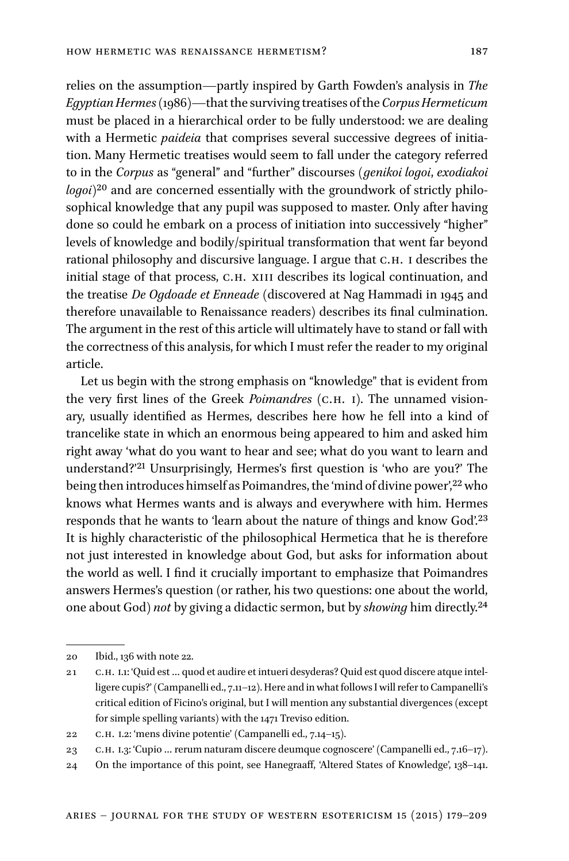relies on the assumption—partly inspired by Garth Fowden's analysis in *The EgyptianHermes*(1986)—that the surviving treatises of the *CorpusHermeticum* must be placed in a hierarchical order to be fully understood: we are dealing with a Hermetic *paideia* that comprises several successive degrees of initiation. Many Hermetic treatises would seem to fall under the category referred to in the *Corpus* as "general" and "further" discourses (*genikoi logoi*, *exodiakoi logoi*<sup>20</sup> and are concerned essentially with the groundwork of strictly philosophical knowledge that any pupil was supposed to master. Only after having done so could he embark on a process of initiation into successively "higher" levels of knowledge and bodily/spiritual transformation that went far beyond rational philosophy and discursive language. I argue that C.H. I describes the initial stage of that process, C.H. XIII describes its logical continuation, and the treatise *De Ogdoade et Enneade* (discovered at Nag Hammadi in 1945 and therefore unavailable to Renaissance readers) describes its final culmination. The argument in the rest of this article will ultimately have to stand or fall with the correctness of this analysis, for which I must refer the reader to my original article.

Let us begin with the strong emphasis on "knowledge" that is evident from the very first lines of the Greek *Poimandres* (c.h. i). The unnamed visionary, usually identified as Hermes, describes here how he fell into a kind of trancelike state in which an enormous being appeared to him and asked him right away 'what do you want to hear and see; what do you want to learn and understand?'21 Unsurprisingly, Hermes's first question is 'who are you?' The being then introduces himself as Poimandres, the 'mind of divine power',<sup>22</sup> who knows what Hermes wants and is always and everywhere with him. Hermes responds that he wants to 'learn about the nature of things and know God'.<sup>23</sup> It is highly characteristic of the philosophical Hermetica that he is therefore not just interested in knowledge about God, but asks for information about the world as well. I find it crucially important to emphasize that Poimandres answers Hermes's question (or rather, his two questions: one about the world, one about God) *not* by giving a didactic sermon, but by *showing* him directly.24

<sup>20</sup> Ibid., 136 with note 22.

<sup>21</sup> c.h. i.1: 'Quid est … quod et audire et intueri desyderas? Quid est quod discere atque intelligere cupis?' (Campanelli ed., 7.11-12). Here and in what follows I will refer to Campanelli's critical edition of Ficino's original, but I will mention any substantial divergences (except for simple spelling variants) with the 1471 Treviso edition.

<sup>22</sup> c.h. i.2: 'mens divine potentie' (Campanelli ed., 7.14–15).

<sup>23</sup> c.h. i.3: 'Cupio … rerum naturam discere deumque cognoscere' (Campanelli ed., 7.16–17).

<sup>24</sup> On the importance of this point, see Hanegraaff, 'Altered States of Knowledge', 138–141.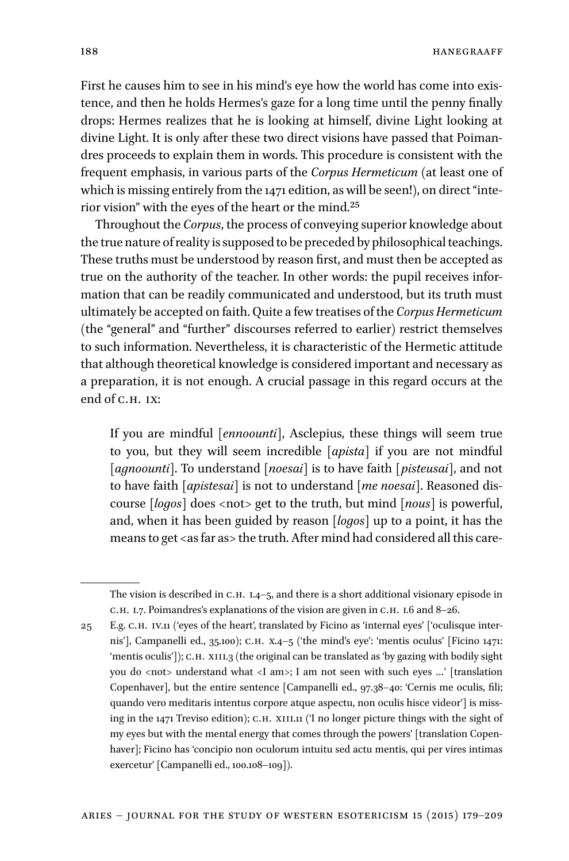188 hanegraaf hanegraaf is beskriuw in de kommuniste beskriuw in de kommuniste beskriuw in de kommuniste beskriuw in de kommuniste beskriuw in de kommuniste beskriuw in de kommuniste beskriuw in de kommuniste beskriuw in d

First he causes him to see in his mind's eye how the world has come into existence, and then he holds Hermes's gaze for a long time until the penny finally drops: Hermes realizes that he is looking at himself, divine Light looking at divine Light. It is only after these two direct visions have passed that Poimandres proceeds to explain them in words. This procedure is consistent with the frequent emphasis, in various parts of the *Corpus Hermeticum* (at least one of which is missing entirely from the 1471 edition, as will be seen!), on direct "interior vision" with the eyes of the heart or the mind.25

Throughout the *Corpus*, the process of conveying superior knowledge about the true nature of reality is supposed to be preceded by philosophical teachings. These truths must be understood by reason first, and must then be accepted as true on the authority of the teacher. In other words: the pupil receives information that can be readily communicated and understood, but its truth must ultimately be accepted on faith. Quite a few treatises of the *Corpus Hermeticum* (the "general" and "further" discourses referred to earlier) restrict themselves to such information. Nevertheless, it is characteristic of the Hermetic attitude that although theoretical knowledge is considered important and necessary as a preparation, it is not enough. A crucial passage in this regard occurs at the end of C.H. IX:

If you are mindful [*ennoounti*], Asclepius, these things will seem true to you, but they will seem incredible [*apista*] if you are not mindful [*agnoounti*]. To understand [*noesai*] is to have faith [*pisteusai*], and not to have faith [*apistesai*] is not to understand [*me noesai*]. Reasoned discourse [*logos*] does <not> get to the truth, but mind [*nous*] is powerful, and, when it has been guided by reason [*logos*] up to a point, it has the means to get <as far as> the truth. After mind had considered all this care-

The vision is described in  $C.H. I.4-5$ , and there is a short additional visionary episode in c.h. i.7. Poimandres's explanations of the vision are given in c.h. i.6 and 8–26.

<sup>25</sup> E.g. c.h. iv.11 ('eyes of the heart', translated by Ficino as 'internal eyes' ['oculisque internis'], Campanelli ed., 35.100); C.H. X.4–5 ('the mind's eye': 'mentis oculus' [Ficino 1471: 'mentis oculis']); C.H. XIII.3 (the original can be translated as 'by gazing with bodily sight you do <not> understand what <I am>; I am not seen with such eyes …' [translation Copenhaver], but the entire sentence [Campanelli ed., 97.38–40: 'Cernis me oculis, fili; quando vero meditaris intentus corpore atque aspectu, non oculis hisce videor'] is missing in the 1471 Treviso edition); C.H. XIII.11 ('I no longer picture things with the sight of my eyes but with the mental energy that comes through the powers' [translation Copenhaver]; Ficino has 'concipio non oculorum intuitu sed actu mentis, qui per vires intimas exercetur' [Campanelli ed., 100.108–109]).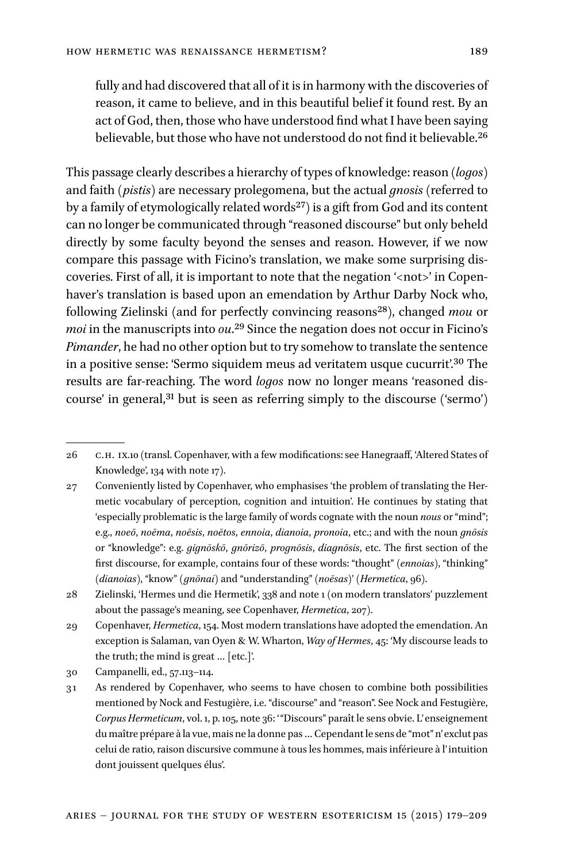fully and had discovered that all of it is in harmony with the discoveries of reason, it came to believe, and in this beautiful belief it found rest. By an act of God, then, those who have understood find what I have been saying believable, but those who have not understood do not find it believable.26

This passage clearly describes a hierarchy of types of knowledge: reason (*logos*) and faith (*pistis*) are necessary prolegomena, but the actual *gnosis* (referred to by a family of etymologically related words<sup>27</sup>) is a gift from God and its content can no longer be communicated through "reasoned discourse" but only beheld directly by some faculty beyond the senses and reason. However, if we now compare this passage with Ficino's translation, we make some surprising discoveries. First of all, it is important to note that the negation '<not>' in Copenhaver's translation is based upon an emendation by Arthur Darby Nock who, following Zielinski (and for perfectly convincing reasons28), changed *mou* or *moi* in the manuscripts into *ou*.29 Since the negation does not occur in Ficino's *Pimander*, he had no other option but to try somehow to translate the sentence in a positive sense: 'Sermo siquidem meus ad veritatem usque cucurrit'.<sup>30</sup> The results are far-reaching. The word *logos* now no longer means 'reasoned discourse' in general,<sup>31</sup> but is seen as referring simply to the discourse ('sermo')

<sup>26</sup> c.h. ix.10 (transl. Copenhaver, with a few modifications: see Hanegraaff, 'Altered States of Knowledge', 134 with note 17).

<sup>27</sup> Conveniently listed by Copenhaver, who emphasises 'the problem of translating the Hermetic vocabulary of perception, cognition and intuition'. He continues by stating that 'especially problematic is the large family of words cognate with the noun *nous* or "mind"; e.g., *noeō*, *noēma*, *noēsis*, *noētos*, *ennoia*, *dianoia*, *pronoia*, etc.; and with the noun *gnōsis* or "knowledge": e.g. *gignōskō*, *gnōrizō*, *prognōsis*, *diagnōsis*, etc. The first section of the first discourse, for example, contains four of these words: "thought" (*ennoias*), "thinking" (*dianoias*), "know" (*gnōnai*) and "understanding" (*noēsas*)' (*Hermetica*, 96).

<sup>28</sup> Zielinski, 'Hermes und die Hermetik', 338 and note 1 (on modern translators' puzzlement about the passage's meaning, see Copenhaver, *Hermetica*, 207).

<sup>29</sup> Copenhaver, *Hermetica*, 154. Most modern translations have adopted the emendation. An exception is Salaman, van Oyen & W. Wharton, *Way of Hermes*, 45: 'My discourse leads to the truth; the mind is great … [etc.]'.

<sup>30</sup> Campanelli, ed., 57.113–114.

<sup>31</sup> As rendered by Copenhaver, who seems to have chosen to combine both possibilities mentioned by Nock and Festugière, i.e. "discourse" and "reason". See Nock and Festugière, *Corpus Hermeticum*, vol. 1, p. 105, note 36: '"Discours" paraît le sens obvie. L'enseignement du maître prépare à la vue, mais ne la donne pas … Cependant le sens de"mot" n'exclut pas celui de ratio, raison discursive commune à tous les hommes, mais inférieure à l'intuition dont jouissent quelques élus'.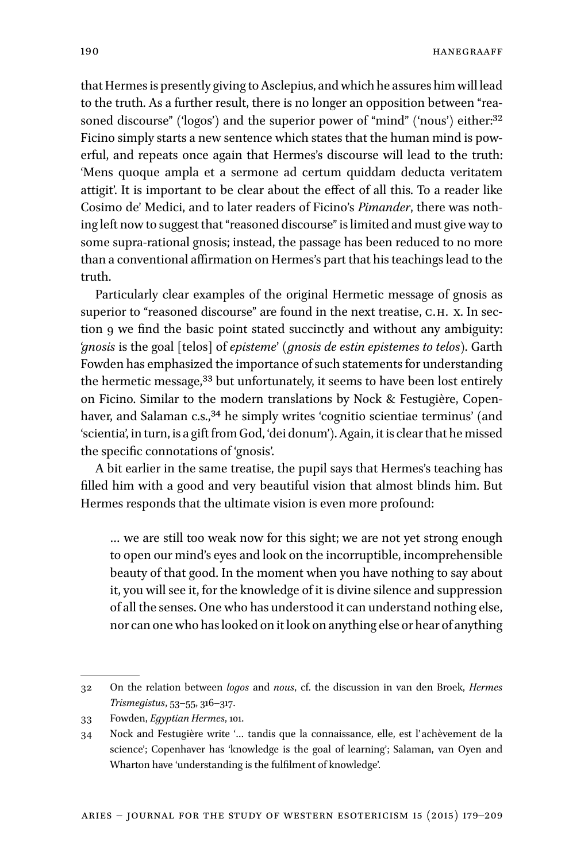190 hanegraaf hanegraaf is beskriuw in de koning van de koning van de koning van de koning van de koning van de koning van de koning van de koning van de koning van de koning van de koning van de koning van de koning van d

that Hermes is presently giving to Asclepius, and which he assures him will lead to the truth. As a further result, there is no longer an opposition between "reasoned discourse" ('logos') and the superior power of "mind" ('nous') either:<sup>32</sup> Ficino simply starts a new sentence which states that the human mind is powerful, and repeats once again that Hermes's discourse will lead to the truth: 'Mens quoque ampla et a sermone ad certum quiddam deducta veritatem attigit'. It is important to be clear about the effect of all this. To a reader like Cosimo de' Medici, and to later readers of Ficino's *Pimander*, there was nothing left now to suggest that "reasoned discourse" is limited and must give way to some supra-rational gnosis; instead, the passage has been reduced to no more than a conventional affirmation on Hermes's part that his teachings lead to the truth.

Particularly clear examples of the original Hermetic message of gnosis as superior to "reasoned discourse" are found in the next treatise, C.H. X. In section 9 we find the basic point stated succinctly and without any ambiguity: '*gnosis* is the goal [telos] of *episteme*' (*gnosis de estin epistemes to telos*). Garth Fowden has emphasized the importance of such statements for understanding the hermetic message,<sup>33</sup> but unfortunately, it seems to have been lost entirely on Ficino. Similar to the modern translations by Nock & Festugière, Copenhaver, and Salaman c.s.,<sup>34</sup> he simply writes 'cognitio scientiae terminus' (and 'scientia', in turn, is a gift from God, 'dei donum'). Again, it is clear that he missed the specific connotations of 'gnosis'.

A bit earlier in the same treatise, the pupil says that Hermes's teaching has filled him with a good and very beautiful vision that almost blinds him. But Hermes responds that the ultimate vision is even more profound:

… we are still too weak now for this sight; we are not yet strong enough to open our mind's eyes and look on the incorruptible, incomprehensible beauty of that good. In the moment when you have nothing to say about it, you will see it, for the knowledge of it is divine silence and suppression of all the senses. One who has understood it can understand nothing else, nor can one who has looked on it look on anything else or hear of anything

<sup>32</sup> On the relation between *logos* and *nous*, cf. the discussion in van den Broek, *Hermes Trismegistus*, 53–55, 316–317.

<sup>33</sup> Fowden, *Egyptian Hermes*, 101.

<sup>34</sup> Nock and Festugière write '… tandis que la connaissance, elle, est l'achèvement de la science'; Copenhaver has 'knowledge is the goal of learning'; Salaman, van Oyen and Wharton have 'understanding is the fulfilment of knowledge'.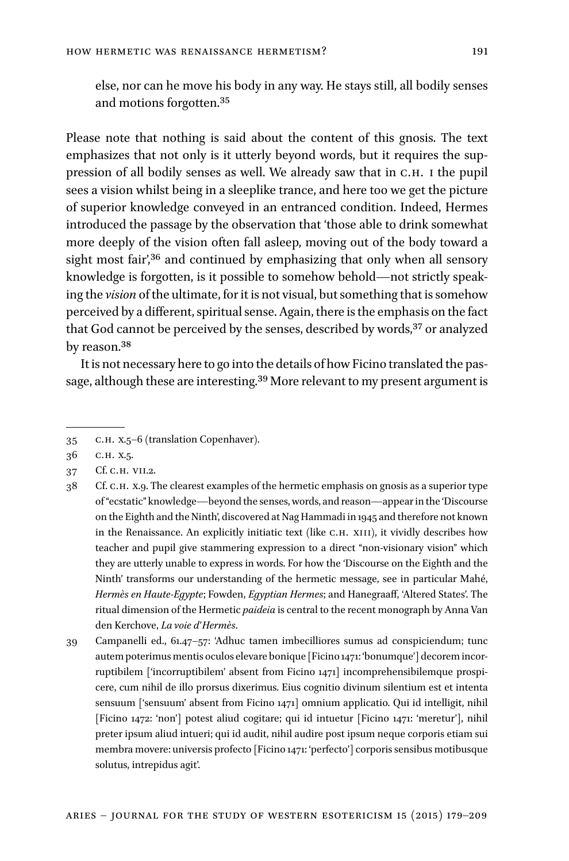else, nor can he move his body in any way. He stays still, all bodily senses and motions forgotten.35

Please note that nothing is said about the content of this gnosis. The text emphasizes that not only is it utterly beyond words, but it requires the suppression of all bodily senses as well. We already saw that in c.h. i the pupil sees a vision whilst being in a sleeplike trance, and here too we get the picture of superior knowledge conveyed in an entranced condition. Indeed, Hermes introduced the passage by the observation that 'those able to drink somewhat more deeply of the vision often fall asleep, moving out of the body toward a sight most fair',<sup>36</sup> and continued by emphasizing that only when all sensory knowledge is forgotten, is it possible to somehow behold—not strictly speaking the *vision* of the ultimate, for it is not visual, but something that is somehow perceived by a different, spiritual sense. Again, there is the emphasis on the fact that God cannot be perceived by the senses, described by words,<sup>37</sup> or analyzed by reason.38

It is not necessary here to go into the details of how Ficino translated the passage, although these are interesting.<sup>39</sup> More relevant to my present argument is

- 37 Cf. C.H. VII.2.
- 38 Cf. c.h. x.9. The clearest examples of the hermetic emphasis on gnosis as a superior type of"ecstatic" knowledge—beyond the senses, words, and reason—appear in the 'Discourse on the Eighth and the Ninth', discovered at Nag Hammadi in 1945 and therefore not known in the Renaissance. An explicitly initiatic text (like c.h. xiii), it vividly describes how teacher and pupil give stammering expression to a direct "non-visionary vision" which they are utterly unable to express in words. For how the 'Discourse on the Eighth and the Ninth' transforms our understanding of the hermetic message, see in particular Mahé, *Hermès en Haute-Egypte*; Fowden, *Egyptian Hermes*; and Hanegraaff, 'Altered States'. The ritual dimension of the Hermetic *paideia* is central to the recent monograph by Anna Van den Kerchove, *La voie d'Hermès*.
- 39 Campanelli ed., 61.47–57: 'Adhuc tamen imbecilliores sumus ad conspiciendum; tunc autem poterimus mentis oculos elevare bonique [Ficino1471: 'bonumque'] decorem incorruptibilem ['incorruptibilem' absent from Ficino 1471] incomprehensibilemque prospicere, cum nihil de illo prorsus dixerimus. Eius cognitio divinum silentium est et intenta sensuum ['sensuum' absent from Ficino 1471] omnium applicatio. Qui id intelligit, nihil [Ficino 1472: 'non'] potest aliud cogitare; qui id intuetur [Ficino 1471: 'meretur'], nihil preter ipsum aliud intueri; qui id audit, nihil audire post ipsum neque corporis etiam sui membra movere: universis profecto [Ficino 1471: 'perfecto'] corporis sensibus motibusque solutus, intrepidus agit'.

<sup>35</sup> c.h. x.5–6 (translation Copenhaver).

<sup>36</sup> c.h. x.5.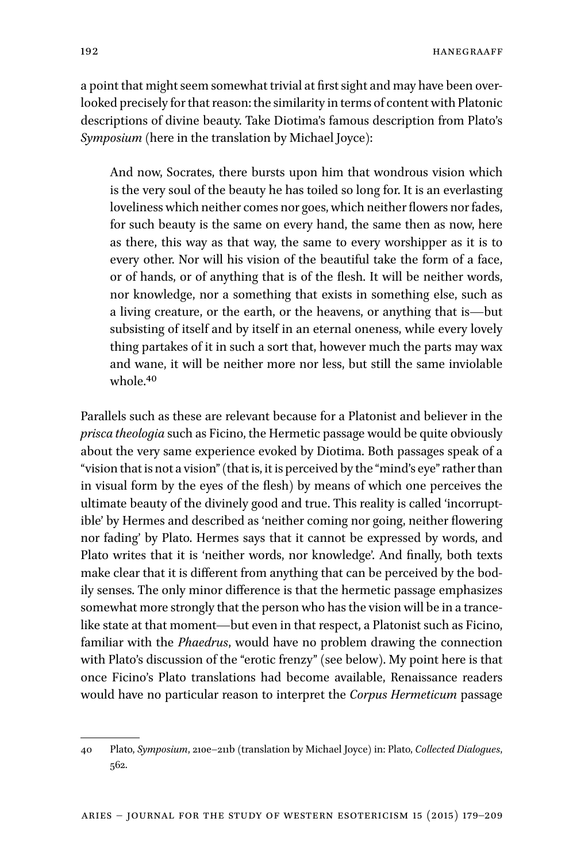a point that might seem somewhat trivial at first sight and may have been overlooked precisely for that reason: the similarity in terms of content with Platonic descriptions of divine beauty. Take Diotima's famous description from Plato's *Symposium* (here in the translation by Michael Joyce):

And now, Socrates, there bursts upon him that wondrous vision which is the very soul of the beauty he has toiled so long for. It is an everlasting loveliness which neither comes nor goes, which neither flowers nor fades, for such beauty is the same on every hand, the same then as now, here as there, this way as that way, the same to every worshipper as it is to every other. Nor will his vision of the beautiful take the form of a face, or of hands, or of anything that is of the flesh. It will be neither words, nor knowledge, nor a something that exists in something else, such as a living creature, or the earth, or the heavens, or anything that is—but subsisting of itself and by itself in an eternal oneness, while every lovely thing partakes of it in such a sort that, however much the parts may wax and wane, it will be neither more nor less, but still the same inviolable whole  $40$ 

Parallels such as these are relevant because for a Platonist and believer in the *prisca theologia* such as Ficino, the Hermetic passage would be quite obviously about the very same experience evoked by Diotima. Both passages speak of a "vision that is not a vision" (that is, it is perceived by the "mind's eye" rather than in visual form by the eyes of the flesh) by means of which one perceives the ultimate beauty of the divinely good and true. This reality is called 'incorruptible' by Hermes and described as 'neither coming nor going, neither flowering nor fading' by Plato. Hermes says that it cannot be expressed by words, and Plato writes that it is 'neither words, nor knowledge'. And finally, both texts make clear that it is different from anything that can be perceived by the bodily senses. The only minor difference is that the hermetic passage emphasizes somewhat more strongly that the person who has the vision will be in a trancelike state at that moment—but even in that respect, a Platonist such as Ficino, familiar with the *Phaedrus*, would have no problem drawing the connection with Plato's discussion of the "erotic frenzy" (see below). My point here is that once Ficino's Plato translations had become available, Renaissance readers would have no particular reason to interpret the *Corpus Hermeticum* passage

<sup>40</sup> Plato, *Symposium*, 210e–211b (translation by Michael Joyce) in: Plato, *Collected Dialogues*, 562.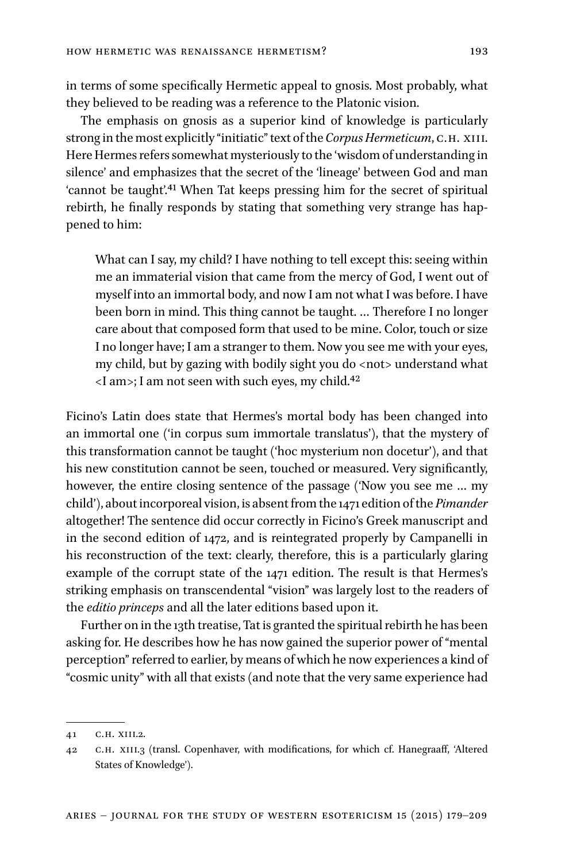in terms of some specifically Hermetic appeal to gnosis. Most probably, what they believed to be reading was a reference to the Platonic vision.

The emphasis on gnosis as a superior kind of knowledge is particularly strong in the most explicitly"initiatic" text of the *Corpus Hermeticum*, c.h. xiii. Here Hermes refers somewhat mysteriously to the 'wisdom of understanding in silence' and emphasizes that the secret of the 'lineage' between God and man 'cannot be taught'.41 When Tat keeps pressing him for the secret of spiritual rebirth, he finally responds by stating that something very strange has happened to him:

What can I say, my child? I have nothing to tell except this: seeing within me an immaterial vision that came from the mercy of God, I went out of myself into an immortal body, and now I am not what I was before. I have been born in mind. This thing cannot be taught. … Therefore I no longer care about that composed form that used to be mine. Color, touch or size I no longer have; I am a stranger to them. Now you see me with your eyes, my child, but by gazing with bodily sight you do <not> understand what <I am>; I am not seen with such eyes, my child.42

Ficino's Latin does state that Hermes's mortal body has been changed into an immortal one ('in corpus sum immortale translatus'), that the mystery of this transformation cannot be taught ('hoc mysterium non docetur'), and that his new constitution cannot be seen, touched or measured. Very significantly, however, the entire closing sentence of the passage ('Now you see me … my child'), about incorporeal vision, is absent from the1471 edition of the *Pimander* altogether! The sentence did occur correctly in Ficino's Greek manuscript and in the second edition of 1472, and is reintegrated properly by Campanelli in his reconstruction of the text: clearly, therefore, this is a particularly glaring example of the corrupt state of the 1471 edition. The result is that Hermes's striking emphasis on transcendental "vision" was largely lost to the readers of the *editio princeps* and all the later editions based upon it.

Further on in the 13th treatise, Tat is granted the spiritual rebirth he has been asking for. He describes how he has now gained the superior power of "mental perception" referred to earlier, by means of which he now experiences a kind of "cosmic unity" with all that exists (and note that the very same experience had

<sup>41</sup> c.h. xiii.2.

<sup>42</sup> c.h. xiii.3 (transl. Copenhaver, with modifications, for which cf. Hanegraaff, 'Altered States of Knowledge').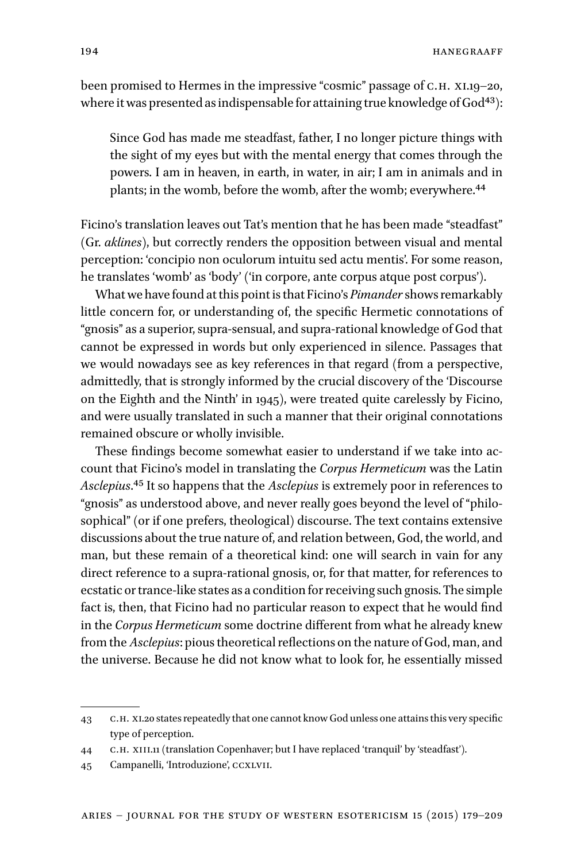194 hanegraaf hanegraaf hanegraaf hanegraaf hanegraaf hanegraaf hanegraaf hanegraaf hanegraaf hanegraaf hanegr

been promised to Hermes in the impressive "cosmic" passage of C.H. XI.19–20, where it was presented as indispensable for attaining true knowledge of God<sup>43</sup>):

Since God has made me steadfast, father, I no longer picture things with the sight of my eyes but with the mental energy that comes through the powers. I am in heaven, in earth, in water, in air; I am in animals and in plants; in the womb, before the womb, after the womb; everywhere.44

Ficino's translation leaves out Tat's mention that he has been made "steadfast" (Gr. *aklines*), but correctly renders the opposition between visual and mental perception: 'concipio non oculorum intuitu sed actu mentis'. For some reason, he translates 'womb' as 'body' ('in corpore, ante corpus atque post corpus').

What we have found at this point is that Ficino's *Pimander* shows remarkably little concern for, or understanding of, the specific Hermetic connotations of "gnosis" as a superior, supra-sensual, and supra-rational knowledge of God that cannot be expressed in words but only experienced in silence. Passages that we would nowadays see as key references in that regard (from a perspective, admittedly, that is strongly informed by the crucial discovery of the 'Discourse on the Eighth and the Ninth' in 1945), were treated quite carelessly by Ficino, and were usually translated in such a manner that their original connotations remained obscure or wholly invisible.

These findings become somewhat easier to understand if we take into account that Ficino's model in translating the *Corpus Hermeticum* was the Latin *Asclepius*.45 It so happens that the *Asclepius* is extremely poor in references to "gnosis" as understood above, and never really goes beyond the level of "philosophical" (or if one prefers, theological) discourse. The text contains extensive discussions about the true nature of, and relation between, God, the world, and man, but these remain of a theoretical kind: one will search in vain for any direct reference to a supra-rational gnosis, or, for that matter, for references to ecstatic or trance-like states as a condition for receiving such gnosis. The simple fact is, then, that Ficino had no particular reason to expect that he would find in the *Corpus Hermeticum* some doctrine different from what he already knew from the *Asclepius*: pious theoretical reflections on the nature of God, man, and the universe. Because he did not know what to look for, he essentially missed

<sup>43</sup> c.h. xi.20 states repeatedly that one cannot know God unless one attains this very specific type of perception.

<sup>44</sup> c.h. xiii.11 (translation Copenhaver; but I have replaced 'tranquil' by 'steadfast').

<sup>45</sup> Campanelli, 'Introduzione', ccxlvii.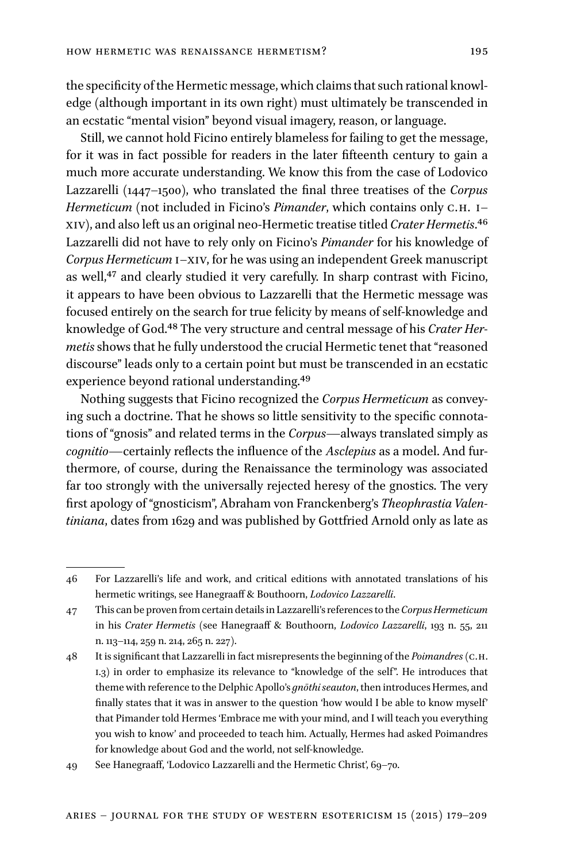the specificity of the Hermetic message, which claims that such rational knowledge (although important in its own right) must ultimately be transcended in an ecstatic "mental vision" beyond visual imagery, reason, or language.

Still, we cannot hold Ficino entirely blameless for failing to get the message, for it was in fact possible for readers in the later fifteenth century to gain a much more accurate understanding. We know this from the case of Lodovico Lazzarelli (1447–1500), who translated the final three treatises of the *Corpus Hermeticum* (not included in Ficino's *Pimander*, which contains only c.h. i– xiv), and also left us an original neo-Hermetic treatise titled *Crater Hermetis*.46 Lazzarelli did not have to rely only on Ficino's *Pimander* for his knowledge of *Corpus Hermeticum* i–xiv, for he was using an independent Greek manuscript as well,<sup>47</sup> and clearly studied it very carefully. In sharp contrast with Ficino, it appears to have been obvious to Lazzarelli that the Hermetic message was focused entirely on the search for true felicity by means of self-knowledge and knowledge of God.48 The very structure and central message of his *Crater Hermetis*shows that he fully understood the crucial Hermetic tenet that "reasoned discourse" leads only to a certain point but must be transcended in an ecstatic experience beyond rational understanding.49

Nothing suggests that Ficino recognized the *Corpus Hermeticum* as conveying such a doctrine. That he shows so little sensitivity to the specific connotations of "gnosis" and related terms in the *Corpus*—always translated simply as *cognitio*—certainly reflects the influence of the *Asclepius* as a model. And furthermore, of course, during the Renaissance the terminology was associated far too strongly with the universally rejected heresy of the gnostics. The very first apology of "gnosticism", Abraham von Franckenberg's *Theophrastia Valentiniana*, dates from 1629 and was published by Gottfried Arnold only as late as

<sup>46</sup> For Lazzarelli's life and work, and critical editions with annotated translations of his hermetic writings, see Hanegraaff & Bouthoorn, *Lodovico Lazzarelli*.

<sup>47</sup> This can be provenfrom certain details in Lazzarelli's references to the *CorpusHermeticum* in his *Crater Hermetis* (see Hanegraaff & Bouthoorn, *Lodovico Lazzarelli*, 193 n. 55, 211 n. 113–114, 259 n. 214, 265 n. 227).

<sup>48</sup> It is significant that Lazzarelli in fact misrepresents the beginning of the *Poimandres*(c.h. i.3) in order to emphasize its relevance to "knowledge of the self". He introduces that theme with reference to the Delphic Apollo's *gnōthi seauton*, then introduces Hermes, and finally states that it was in answer to the question 'how would I be able to know myself' that Pimander told Hermes 'Embrace me with your mind, and I will teach you everything you wish to know' and proceeded to teach him. Actually, Hermes had asked Poimandres for knowledge about God and the world, not self-knowledge.

<sup>49</sup> See Hanegraaff, 'Lodovico Lazzarelli and the Hermetic Christ', 69–70.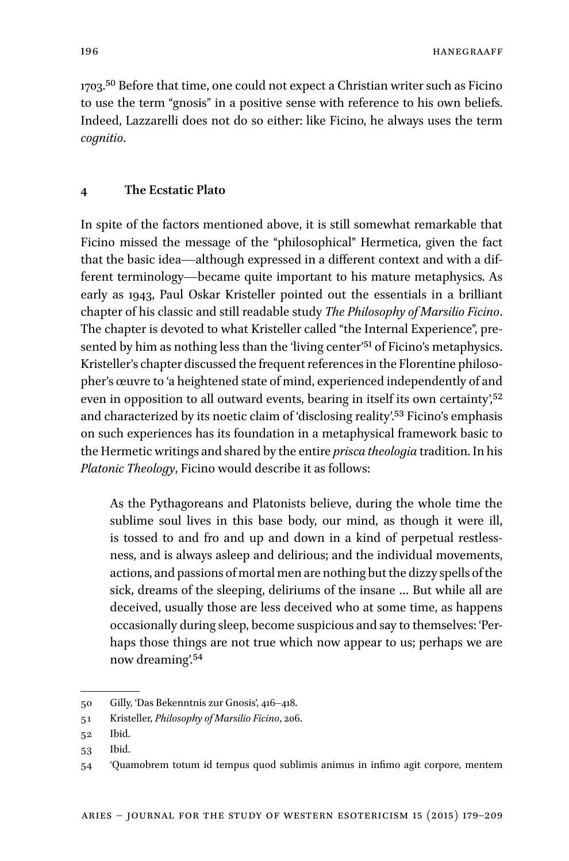1703.50 Before that time, one could not expect a Christian writer such as Ficino to use the term "gnosis" in a positive sense with reference to his own beliefs. Indeed, Lazzarelli does not do so either: like Ficino, he always uses the term *cognitio*.

#### **4 The Ecstatic Plato**

In spite of the factors mentioned above, it is still somewhat remarkable that Ficino missed the message of the "philosophical" Hermetica, given the fact that the basic idea—although expressed in a different context and with a different terminology—became quite important to his mature metaphysics. As early as 1943, Paul Oskar Kristeller pointed out the essentials in a brilliant chapter of his classic and still readable study *The Philosophy of Marsilio Ficino*. The chapter is devoted to what Kristeller called "the Internal Experience", presented by him as nothing less than the 'living center'<sup>51</sup> of Ficino's metaphysics. Kristeller's chapter discussed the frequent references in the Florentine philosopher's œuvre to 'a heightened state of mind, experienced independently of and even in opposition to all outward events, bearing in itself its own certainty',<sup>52</sup> and characterized by its noetic claim of 'disclosing reality'.53 Ficino's emphasis on such experiences has its foundation in a metaphysical framework basic to the Hermetic writings and shared by the entire *prisca theologia* tradition. In his *Platonic Theology*, Ficino would describe it as follows:

As the Pythagoreans and Platonists believe, during the whole time the sublime soul lives in this base body, our mind, as though it were ill, is tossed to and fro and up and down in a kind of perpetual restlessness, and is always asleep and delirious; and the individual movements, actions, and passions of mortal men are nothing but the dizzy spells of the sick, dreams of the sleeping, deliriums of the insane … But while all are deceived, usually those are less deceived who at some time, as happens occasionally during sleep, become suspicious and say to themselves: 'Perhaps those things are not true which now appear to us; perhaps we are now dreaming'.54

<sup>50</sup> Gilly, 'Das Bekenntnis zur Gnosis', 416–418.

<sup>51</sup> Kristeller, *Philosophy of Marsilio Ficino*, 206.

<sup>52</sup> Ibid.

<sup>53</sup> Ibid.

<sup>54</sup> 'Quamobrem totum id tempus quod sublimis animus in infimo agit corpore, mentem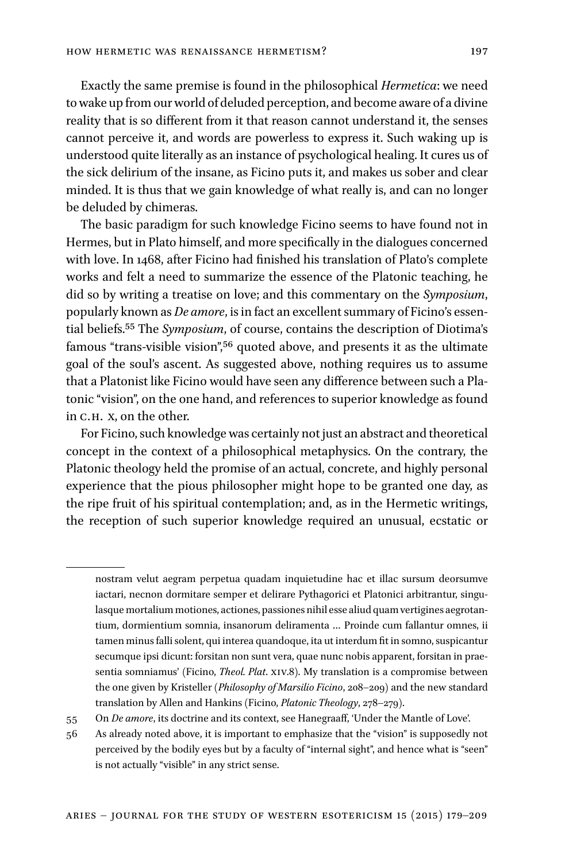Exactly the same premise is found in the philosophical *Hermetica*: we need to wake up from our world of deluded perception, and become aware of a divine reality that is so different from it that reason cannot understand it, the senses cannot perceive it, and words are powerless to express it. Such waking up is understood quite literally as an instance of psychological healing. It cures us of the sick delirium of the insane, as Ficino puts it, and makes us sober and clear minded. It is thus that we gain knowledge of what really is, and can no longer be deluded by chimeras.

The basic paradigm for such knowledge Ficino seems to have found not in Hermes, but in Plato himself, and more specifically in the dialogues concerned with love. In 1468, after Ficino had finished his translation of Plato's complete works and felt a need to summarize the essence of the Platonic teaching, he did so by writing a treatise on love; and this commentary on the *Symposium*, popularly known as *De amore*, is in fact an excellent summary of Ficino's essential beliefs.55 The *Symposium*, of course, contains the description of Diotima's famous "trans-visible vision",<sup>56</sup> quoted above, and presents it as the ultimate goal of the soul's ascent. As suggested above, nothing requires us to assume that a Platonist like Ficino would have seen any difference between such a Platonic "vision", on the one hand, and references to superior knowledge as found in c.h. x, on the other.

For Ficino, such knowledge was certainly not just an abstract and theoretical concept in the context of a philosophical metaphysics. On the contrary, the Platonic theology held the promise of an actual, concrete, and highly personal experience that the pious philosopher might hope to be granted one day, as the ripe fruit of his spiritual contemplation; and, as in the Hermetic writings, the reception of such superior knowledge required an unusual, ecstatic or

nostram velut aegram perpetua quadam inquietudine hac et illac sursum deorsumve iactari, necnon dormitare semper et delirare Pythagorici et Platonici arbitrantur, singulasque mortalium motiones, actiones, passiones nihil esse aliud quam vertigines aegrotantium, dormientium somnia, insanorum deliramenta … Proinde cum fallantur omnes, ii tamen minus falli solent, qui interea quandoque, ita ut interdum fit in somno, suspicantur secumque ipsi dicunt: forsitan non sunt vera, quae nunc nobis apparent, forsitan in praesentia somniamus' (Ficino, *Theol. Plat*. xiv.8). My translation is a compromise between the one given by Kristeller (*Philosophy of Marsilio Ficino*, 208–209) and the new standard translation by Allen and Hankins (Ficino, *Platonic Theology*, 278–279).

<sup>55</sup> On *De amore*, its doctrine and its context, see Hanegraaff, 'Under the Mantle of Love'.

<sup>56</sup> As already noted above, it is important to emphasize that the "vision" is supposedly not perceived by the bodily eyes but by a faculty of "internal sight", and hence what is "seen" is not actually "visible" in any strict sense.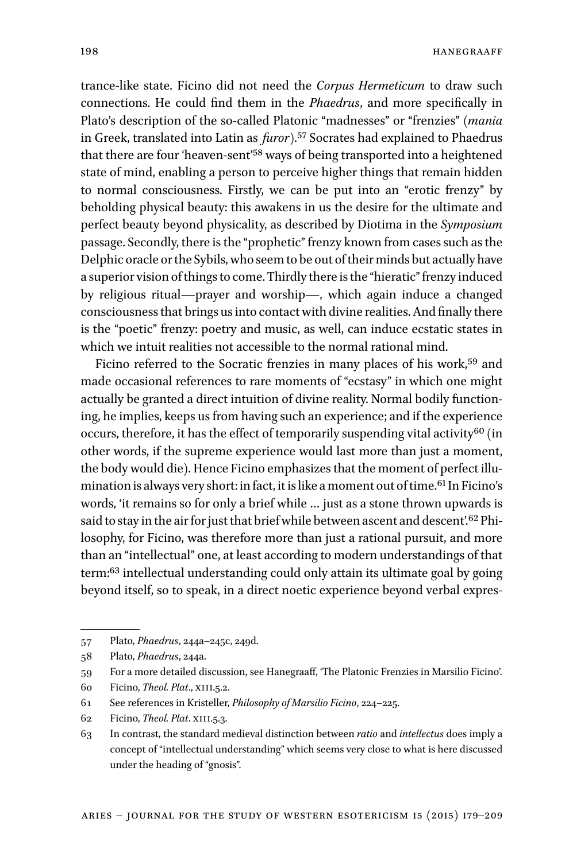198 hanegraaf hanegraaf is beskriuw in de beskriuw in de beskriuw in de beskriuw in de beskriuw in de beskriuw<br>De beskriuw in de beskriuw in de beskriuw in de beskriuw in de beskriuw in de beskriuw in de beskriuw in de be

trance-like state. Ficino did not need the *Corpus Hermeticum* to draw such connections. He could find them in the *Phaedrus*, and more specifically in Plato's description of the so-called Platonic "madnesses" or "frenzies" (*mania* in Greek, translated into Latin as *furor*).57 Socrates had explained to Phaedrus that there are four 'heaven-sent'<sup>58</sup> ways of being transported into a heightened state of mind, enabling a person to perceive higher things that remain hidden to normal consciousness. Firstly, we can be put into an "erotic frenzy" by beholding physical beauty: this awakens in us the desire for the ultimate and perfect beauty beyond physicality, as described by Diotima in the *Symposium* passage. Secondly, there is the "prophetic" frenzy known from cases such as the Delphic oracle or the Sybils, who seem to be out of their minds but actually have a superior vision of things to come. Thirdly there is the"hieratic" frenzy induced by religious ritual—prayer and worship—, which again induce a changed consciousness that brings us into contact with divine realities. And finally there is the "poetic" frenzy: poetry and music, as well, can induce ecstatic states in which we intuit realities not accessible to the normal rational mind.

Ficino referred to the Socratic frenzies in many places of his work,<sup>59</sup> and made occasional references to rare moments of "ecstasy" in which one might actually be granted a direct intuition of divine reality. Normal bodily functioning, he implies, keeps us from having such an experience; and if the experience occurs, therefore, it has the effect of temporarily suspending vital activity<sup>60</sup> (in other words, if the supreme experience would last more than just a moment, the body would die). Hence Ficino emphasizes that the moment of perfect illumination is always very short: in fact, it is like a moment out of time.<sup>61</sup> In Ficino's words, 'it remains so for only a brief while … just as a stone thrown upwards is said to stay in the air for just that brief while between ascent and descent'.62 Philosophy, for Ficino, was therefore more than just a rational pursuit, and more than an "intellectual" one, at least according to modern understandings of that term:63 intellectual understanding could only attain its ultimate goal by going beyond itself, so to speak, in a direct noetic experience beyond verbal expres-

<sup>57</sup> Plato, *Phaedrus*, 244a–245c, 249d.

<sup>58</sup> Plato, *Phaedrus*, 244a.

<sup>59</sup> For a more detailed discussion, see Hanegraaff, 'The Platonic Frenzies in Marsilio Ficino'.

<sup>60</sup> Ficino, *Theol. Plat*., xiii.5.2.

<sup>61</sup> See references in Kristeller, *Philosophy of Marsilio Ficino*, 224–225.

<sup>62</sup> Ficino, *Theol. Plat*. xiii.5.3.

<sup>63</sup> In contrast, the standard medieval distinction between *ratio* and *intellectus* does imply a concept of "intellectual understanding" which seems very close to what is here discussed under the heading of "gnosis".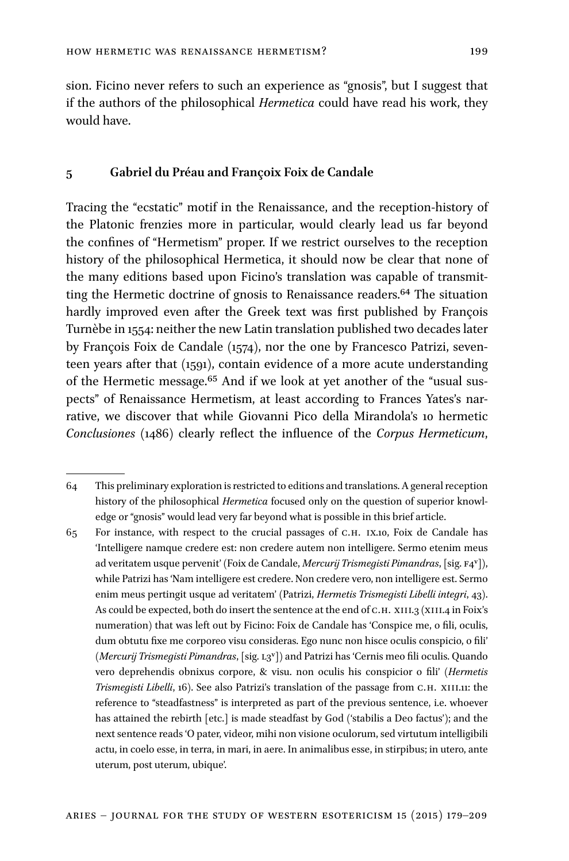sion. Ficino never refers to such an experience as "gnosis", but I suggest that if the authors of the philosophical *Hermetica* could have read his work, they would have.

#### **5 Gabriel du Préau and Françoix Foix de Candale**

Tracing the "ecstatic" motif in the Renaissance, and the reception-history of the Platonic frenzies more in particular, would clearly lead us far beyond the confines of "Hermetism" proper. If we restrict ourselves to the reception history of the philosophical Hermetica, it should now be clear that none of the many editions based upon Ficino's translation was capable of transmitting the Hermetic doctrine of gnosis to Renaissance readers.<sup>64</sup> The situation hardly improved even after the Greek text was first published by François Turnèbe in 1554: neither the new Latin translation published two decades later by François Foix de Candale (1574), nor the one by Francesco Patrizi, seventeen years after that (1591), contain evidence of a more acute understanding of the Hermetic message.65 And if we look at yet another of the "usual suspects" of Renaissance Hermetism, at least according to Frances Yates's narrative, we discover that while Giovanni Pico della Mirandola's 10 hermetic *Conclusiones* (1486) clearly reflect the influence of the *Corpus Hermeticum*,

<sup>64</sup> This preliminary exploration is restricted to editions and translations. A general reception history of the philosophical *Hermetica* focused only on the question of superior knowledge or "gnosis" would lead very far beyond what is possible in this brief article.

<sup>65</sup> For instance, with respect to the crucial passages of c.h. ix.10, Foix de Candale has 'Intelligere namque credere est: non credere autem non intelligere. Sermo etenim meus ad veritatem usque pervenit' (Foix de Candale, *Mercurij Trismegisti Pimandras*, [sig. f4v]), while Patrizi has 'Nam intelligere est credere. Non credere vero, non intelligere est. Sermo enim meus pertingit usque ad veritatem' (Patrizi, *Hermetis Trismegisti Libelli integri*, 43). As could be expected, both do insert the sentence at the end of  $C.H.$  XIII.3 (XIII.4 in Foix's numeration) that was left out by Ficino: Foix de Candale has 'Conspice me, o fili, oculis, dum obtutu fixe me corporeo visu consideras. Ego nunc non hisce oculis conspicio, o fili' (*Mercurij Trismegisti Pimandras*, [sig. L<sub>3</sub>v]) and Patrizi has 'Cernis meo fili oculis. Quando vero deprehendis obnixus corpore, & visu. non oculis his conspicior o fili' (*Hermetis Trismegisti Libelli*, 16). See also Patrizi's translation of the passage from c.h. xiii.11: the reference to "steadfastness" is interpreted as part of the previous sentence, i.e. whoever has attained the rebirth [etc.] is made steadfast by God ('stabilis a Deo factus'); and the next sentence reads 'O pater, videor, mihi non visione oculorum, sed virtutum intelligibili actu, in coelo esse, in terra, in mari, in aere. In animalibus esse, in stirpibus; in utero, ante uterum, post uterum, ubique'.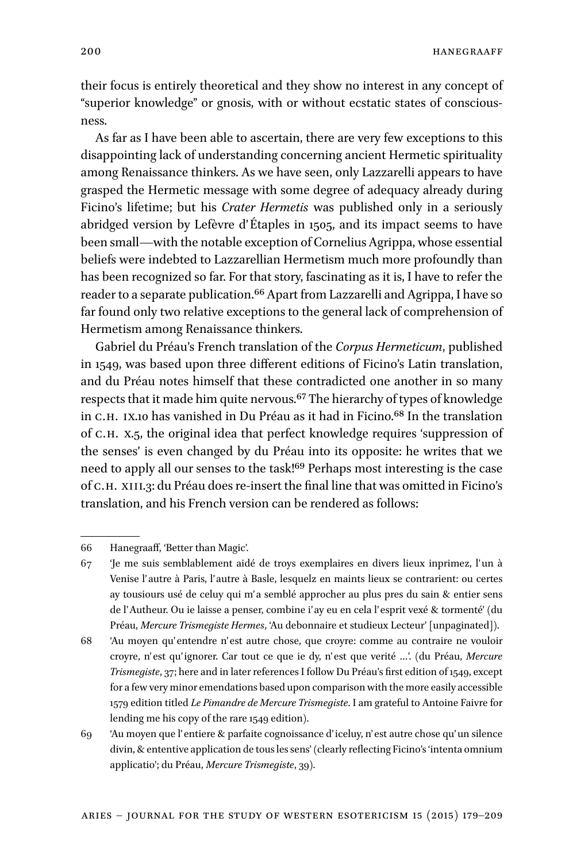200 hanegraaf hanegraaf hanegraaf hanegraaf hanegraaf hanegraaf hanegraaf hanegraaf hanegraaf hanegraaf hanegraaf h

their focus is entirely theoretical and they show no interest in any concept of "superior knowledge" or gnosis, with or without ecstatic states of consciousness.

As far as I have been able to ascertain, there are very few exceptions to this disappointing lack of understanding concerning ancient Hermetic spirituality among Renaissance thinkers. As we have seen, only Lazzarelli appears to have grasped the Hermetic message with some degree of adequacy already during Ficino's lifetime; but his *Crater Hermetis* was published only in a seriously abridged version by Lefèvre d'Étaples in 1505, and its impact seems to have been small—with the notable exception of Cornelius Agrippa, whose essential beliefs were indebted to Lazzarellian Hermetism much more profoundly than has been recognized so far. For that story, fascinating as it is, I have to refer the reader to a separate publication.<sup>66</sup> Apart from Lazzarelli and Agrippa, I have so far found only two relative exceptions to the general lack of comprehension of Hermetism among Renaissance thinkers.

Gabriel du Préau's French translation of the *Corpus Hermeticum*, published in 1549, was based upon three different editions of Ficino's Latin translation, and du Préau notes himself that these contradicted one another in so many respects that it made him quite nervous.<sup>67</sup> The hierarchy of types of knowledge in c.h. ix.10 has vanished in Du Préau as it had in Ficino.68 In the translation of c.h. x.5, the original idea that perfect knowledge requires 'suppression of the senses' is even changed by du Préau into its opposite: he writes that we need to apply all our senses to the task!<sup>69</sup> Perhaps most interesting is the case of C.H. XIII.3: du Préau does re-insert the final line that was omitted in Ficino's translation, and his French version can be rendered as follows:

<sup>66</sup> Hanegraaff, 'Better than Magic'.

<sup>67</sup> 'Je me suis semblablement aidé de troys exemplaires en divers lieux inprimez, l'un à Venise l'autre à Paris, l'autre à Basle, lesquelz en maints lieux se contrarient: ou certes ay tousiours usé de celuy qui m'a semblé approcher au plus pres du sain & entier sens de l'Autheur. Ou ie laisse a penser, combine i'ay eu en cela l'esprit vexé & tormenté' (du Préau, *Mercure Trismegiste Hermes*, 'Au debonnaire et studieux Lecteur' [unpaginated]).

<sup>68</sup> 'Au moyen qu'entendre n'est autre chose, que croyre: comme au contraire ne vouloir croyre, n'est qu'ignorer. Car tout ce que ie dy, n'est que verité …'. (du Préau, *Mercure Trismegiste*, 37; here and in later references I follow Du Préau's first edition of 1549, except for a few very minor emendations based upon comparison with the more easily accessible 1579 edition titled *Le Pimandre de Mercure Trismegiste*. I am grateful to Antoine Faivre for lending me his copy of the rare 1549 edition).

<sup>69</sup> 'Au moyen que l'entiere & parfaite cognoissance d'iceluy, n'est autre chose qu'un silence divin, & ententive application de tous les sens' (clearly reflecting Ficino's 'intenta omnium applicatio'; du Préau, *Mercure Trismegiste*, 39).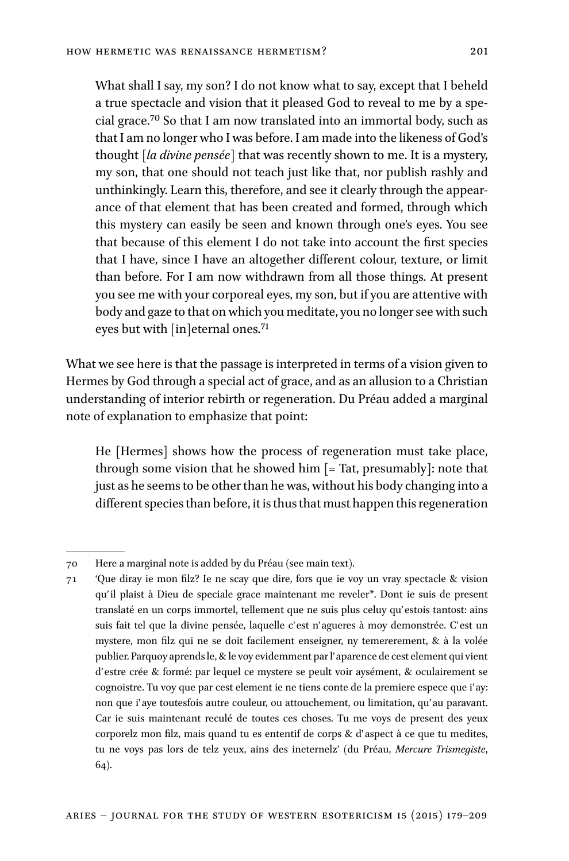What shall I say, my son? I do not know what to say, except that I beheld a true spectacle and vision that it pleased God to reveal to me by a special grace.70 So that I am now translated into an immortal body, such as that I am no longer who I was before. I am made into the likeness of God's thought [*la divine pensée*] that was recently shown to me. It is a mystery, my son, that one should not teach just like that, nor publish rashly and unthinkingly. Learn this, therefore, and see it clearly through the appearance of that element that has been created and formed, through which this mystery can easily be seen and known through one's eyes. You see that because of this element I do not take into account the first species that I have, since I have an altogether different colour, texture, or limit than before. For I am now withdrawn from all those things. At present you see me with your corporeal eyes, my son, but if you are attentive with body and gaze to that on which you meditate, you no longer see with such eyes but with [in]eternal ones.71

What we see here is that the passage is interpreted in terms of a vision given to Hermes by God through a special act of grace, and as an allusion to a Christian understanding of interior rebirth or regeneration. Du Préau added a marginal note of explanation to emphasize that point:

He [Hermes] shows how the process of regeneration must take place, through some vision that he showed him  $[=$  Tat, presumably]: note that just as he seems to be other than he was, without his body changing into a different species than before, it is thus that must happen this regeneration

<sup>70</sup> Here a marginal note is added by du Préau (see main text).

<sup>71</sup> 'Que diray ie mon filz? Ie ne scay que dire, fors que ie voy un vray spectacle & vision qu'il plaist à Dieu de speciale grace maintenant me reveler\*. Dont ie suis de present translaté en un corps immortel, tellement que ne suis plus celuy qu'estois tantost: ains suis fait tel que la divine pensée, laquelle c'est n'agueres à moy demonstrée. C'est un mystere, mon filz qui ne se doit facilement enseigner, ny temererement, & à la volée publier. Parquoy aprends le, & le voy evidemment par l'aparence de cest element qui vient d'estre crée & formé: par lequel ce mystere se peult voir aysément, & oculairement se cognoistre. Tu voy que par cest element ie ne tiens conte de la premiere espece que i'ay: non que i'aye toutesfois autre couleur, ou attouchement, ou limitation, qu'au paravant. Car ie suis maintenant reculé de toutes ces choses. Tu me voys de present des yeux corporelz mon filz, mais quand tu es ententif de corps & d'aspect à ce que tu medites, tu ne voys pas lors de telz yeux, ains des ineternelz' (du Préau, *Mercure Trismegiste*, 64).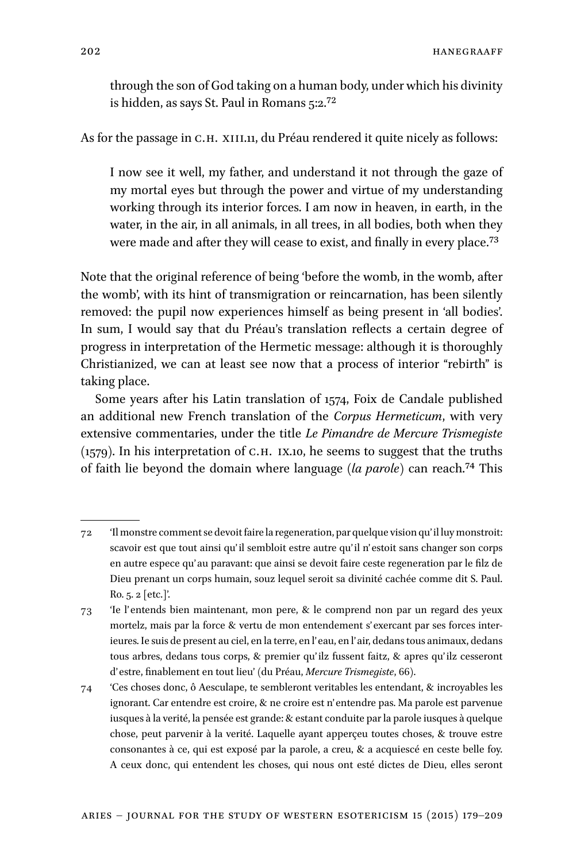through the son of God taking on a human body, under which his divinity is hidden, as says St. Paul in Romans 5:2.72

As for the passage in C.H. XIII.11, du Préau rendered it quite nicely as follows:

I now see it well, my father, and understand it not through the gaze of my mortal eyes but through the power and virtue of my understanding working through its interior forces. I am now in heaven, in earth, in the water, in the air, in all animals, in all trees, in all bodies, both when they were made and after they will cease to exist, and finally in every place.<sup>73</sup>

Note that the original reference of being 'before the womb, in the womb, after the womb', with its hint of transmigration or reincarnation, has been silently removed: the pupil now experiences himself as being present in 'all bodies'. In sum, I would say that du Préau's translation reflects a certain degree of progress in interpretation of the Hermetic message: although it is thoroughly Christianized, we can at least see now that a process of interior "rebirth" is taking place.

Some years after his Latin translation of 1574, Foix de Candale published an additional new French translation of the *Corpus Hermeticum*, with very extensive commentaries, under the title *Le Pimandre de Mercure Trismegiste*  $(1579)$ . In his interpretation of C.H. IX.10, he seems to suggest that the truths of faith lie beyond the domain where language (*la parole*) can reach.74 This

<sup>72</sup> 'Il monstre comment se devoit faire la regeneration, par quelque vision qu'il luy monstroit: scavoir est que tout ainsi qu'il sembloit estre autre qu'il n'estoit sans changer son corps en autre espece qu'au paravant: que ainsi se devoit faire ceste regeneration par le filz de Dieu prenant un corps humain, souz lequel seroit sa divinité cachée comme dit S. Paul. Ro. 5. 2 [etc.]'.

<sup>73</sup> 'Ie l'entends bien maintenant, mon pere, & le comprend non par un regard des yeux mortelz, mais par la force & vertu de mon entendement s'exercant par ses forces interieures. Ie suis de present au ciel, en la terre, en l'eau, en l'air, dedans tous animaux, dedans tous arbres, dedans tous corps, & premier qu'ilz fussent faitz, & apres qu'ilz cesseront d'estre, finablement en tout lieu' (du Préau, *Mercure Trismegiste*, 66).

<sup>74</sup> 'Ces choses donc, ô Aesculape, te sembleront veritables les entendant, & incroyables les ignorant. Car entendre est croire, & ne croire est n'entendre pas. Ma parole est parvenue iusques à la verité, la pensée est grande: & estant conduite par la parole iusques à quelque chose, peut parvenir à la verité. Laquelle ayant apperçeu toutes choses, & trouve estre consonantes à ce, qui est exposé par la parole, a creu, & a acquiescé en ceste belle foy. A ceux donc, qui entendent les choses, qui nous ont esté dictes de Dieu, elles seront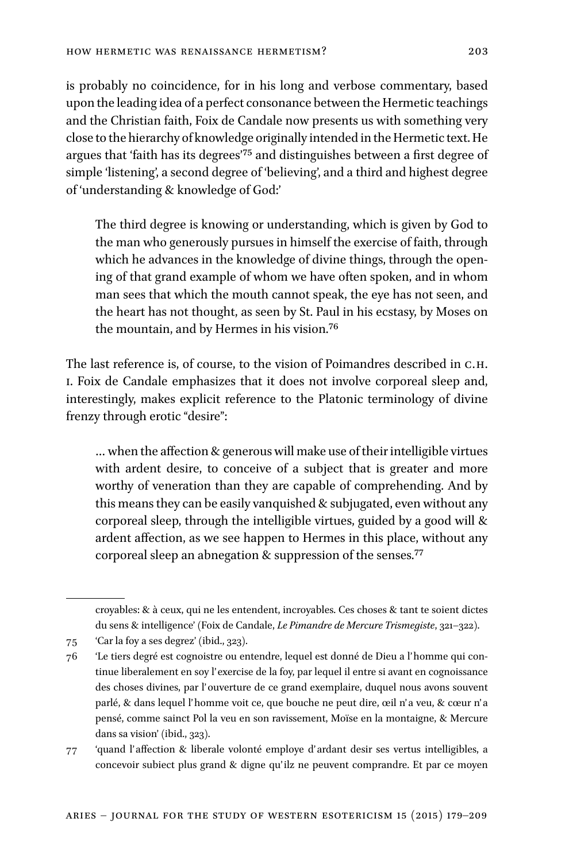is probably no coincidence, for in his long and verbose commentary, based upon the leading idea of a perfect consonance between the Hermetic teachings and the Christian faith, Foix de Candale now presents us with something very close to the hierarchy of knowledge originally intended in the Hermetic text. He argues that 'faith has its degrees'75 and distinguishes between a first degree of simple 'listening', a second degree of 'believing', and a third and highest degree of 'understanding & knowledge of God:'

The third degree is knowing or understanding, which is given by God to the man who generously pursues in himself the exercise of faith, through which he advances in the knowledge of divine things, through the opening of that grand example of whom we have often spoken, and in whom man sees that which the mouth cannot speak, the eye has not seen, and the heart has not thought, as seen by St. Paul in his ecstasy, by Moses on the mountain, and by Hermes in his vision.76

The last reference is, of course, to the vision of Poimandres described in c.h. i. Foix de Candale emphasizes that it does not involve corporeal sleep and, interestingly, makes explicit reference to the Platonic terminology of divine frenzy through erotic "desire":

… when the affection & generous will make use of their intelligible virtues with ardent desire, to conceive of a subject that is greater and more worthy of veneration than they are capable of comprehending. And by this means they can be easily vanquished & subjugated, even without any corporeal sleep, through the intelligible virtues, guided by a good will & ardent affection, as we see happen to Hermes in this place, without any corporeal sleep an abnegation & suppression of the senses.77

croyables: & à ceux, qui ne les entendent, incroyables. Ces choses & tant te soient dictes du sens & intelligence' (Foix de Candale, *Le Pimandre de Mercure Trismegiste*, 321–322).

<sup>75</sup> 'Car la foy a ses degrez' (ibid., 323).

<sup>76</sup> 'Le tiers degré est cognoistre ou entendre, lequel est donné de Dieu a l'homme qui continue liberalement en soy l'exercise de la foy, par lequel il entre si avant en cognoissance des choses divines, par l'ouverture de ce grand exemplaire, duquel nous avons souvent parlé, & dans lequel l'homme voit ce, que bouche ne peut dire, œil n'a veu, & cœur n'a pensé, comme sainct Pol la veu en son ravissement, Moïse en la montaigne, & Mercure dans sa vision' (ibid., 323).

<sup>77</sup> 'quand l'affection & liberale volonté employe d'ardant desir ses vertus intelligibles, a concevoir subiect plus grand & digne qu'ilz ne peuvent comprandre. Et par ce moyen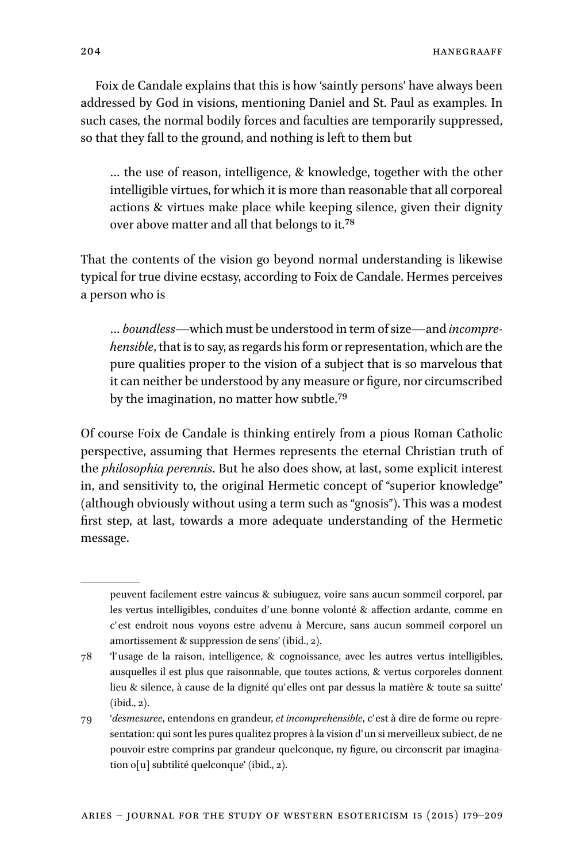Foix de Candale explains that this is how 'saintly persons' have always been addressed by God in visions, mentioning Daniel and St. Paul as examples. In such cases, the normal bodily forces and faculties are temporarily suppressed, so that they fall to the ground, and nothing is left to them but

… the use of reason, intelligence, & knowledge, together with the other intelligible virtues, for which it is more than reasonable that all corporeal actions & virtues make place while keeping silence, given their dignity over above matter and all that belongs to it.78

That the contents of the vision go beyond normal understanding is likewise typical for true divine ecstasy, according to Foix de Candale. Hermes perceives a person who is

… *boundless*—which must be understood in term of size—and *incomprehensible*, that is to say, as regards his form or representation, which are the pure qualities proper to the vision of a subject that is so marvelous that it can neither be understood by any measure or figure, nor circumscribed by the imagination, no matter how subtle.79

Of course Foix de Candale is thinking entirely from a pious Roman Catholic perspective, assuming that Hermes represents the eternal Christian truth of the *philosophia perennis*. But he also does show, at last, some explicit interest in, and sensitivity to, the original Hermetic concept of "superior knowledge" (although obviously without using a term such as "gnosis"). This was a modest first step, at last, towards a more adequate understanding of the Hermetic message.

peuvent facilement estre vaincus & subiuguez, voire sans aucun sommeil corporel, par les vertus intelligibles, conduites d'une bonne volonté & affection ardante, comme en c'est endroit nous voyons estre advenu à Mercure, sans aucun sommeil corporel un amortissement & suppression de sens' (ibid., 2).

<sup>78</sup> 'l'usage de la raison, intelligence, & cognoissance, avec les autres vertus intelligibles, ausquelles il est plus que raisonnable, que toutes actions, & vertus corporeles donnent lieu & silence, à cause de la dignité qu'elles ont par dessus la matière & toute sa suitte' (ibid., 2).

<sup>79</sup> '*desmesuree*, entendons en grandeur, *et incomprehensible*, c'est à dire de forme ou representation: qui sont les pures qualitez propres à la vision d'un si merveilleux subiect, de ne pouvoir estre comprins par grandeur quelconque, ny figure, ou circonscrit par imagination o[u] subtilité quelconque' (ibid., 2).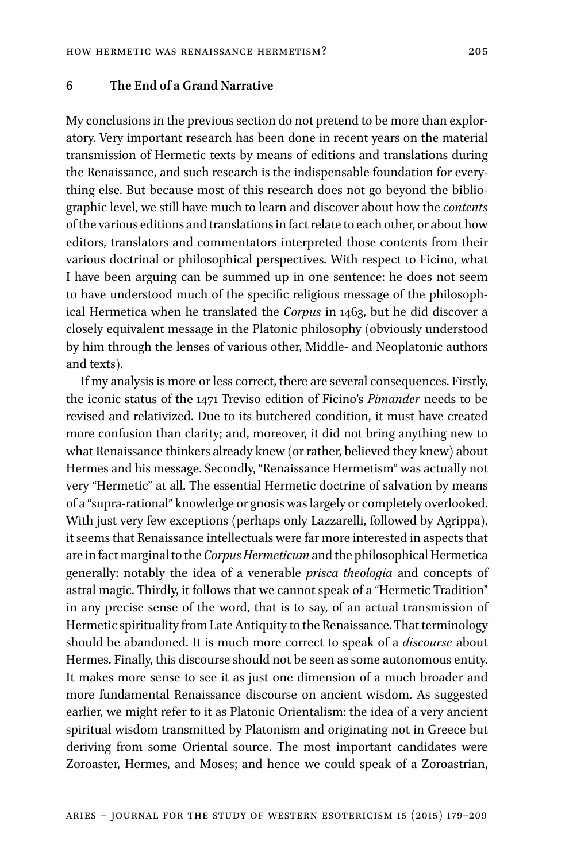#### **6 The End of a Grand Narrative**

My conclusions in the previous section do not pretend to be more than exploratory. Very important research has been done in recent years on the material transmission of Hermetic texts by means of editions and translations during the Renaissance, and such research is the indispensable foundation for everything else. But because most of this research does not go beyond the bibliographic level, we still have much to learn and discover about how the *contents* of the various editions and translations in fact relate to each other, or about how editors, translators and commentators interpreted those contents from their various doctrinal or philosophical perspectives. With respect to Ficino, what I have been arguing can be summed up in one sentence: he does not seem to have understood much of the specific religious message of the philosophical Hermetica when he translated the *Corpus* in 1463, but he did discover a closely equivalent message in the Platonic philosophy (obviously understood by him through the lenses of various other, Middle- and Neoplatonic authors and texts).

If my analysis is more or less correct, there are several consequences. Firstly, the iconic status of the 1471 Treviso edition of Ficino's *Pimander* needs to be revised and relativized. Due to its butchered condition, it must have created more confusion than clarity; and, moreover, it did not bring anything new to what Renaissance thinkers already knew (or rather, believed they knew) about Hermes and his message. Secondly, "Renaissance Hermetism" was actually not very "Hermetic" at all. The essential Hermetic doctrine of salvation by means of a "supra-rational" knowledge or gnosis was largely or completely overlooked. With just very few exceptions (perhaps only Lazzarelli, followed by Agrippa), it seems that Renaissance intellectuals were far more interested in aspects that are in fact marginal to the *Corpus Hermeticum* and the philosophical Hermetica generally: notably the idea of a venerable *prisca theologia* and concepts of astral magic. Thirdly, it follows that we cannot speak of a "Hermetic Tradition" in any precise sense of the word, that is to say, of an actual transmission of Hermetic spirituality from Late Antiquity to the Renaissance. That terminology should be abandoned. It is much more correct to speak of a *discourse* about Hermes. Finally, this discourse should not be seen as some autonomous entity. It makes more sense to see it as just one dimension of a much broader and more fundamental Renaissance discourse on ancient wisdom. As suggested earlier, we might refer to it as Platonic Orientalism: the idea of a very ancient spiritual wisdom transmitted by Platonism and originating not in Greece but deriving from some Oriental source. The most important candidates were Zoroaster, Hermes, and Moses; and hence we could speak of a Zoroastrian,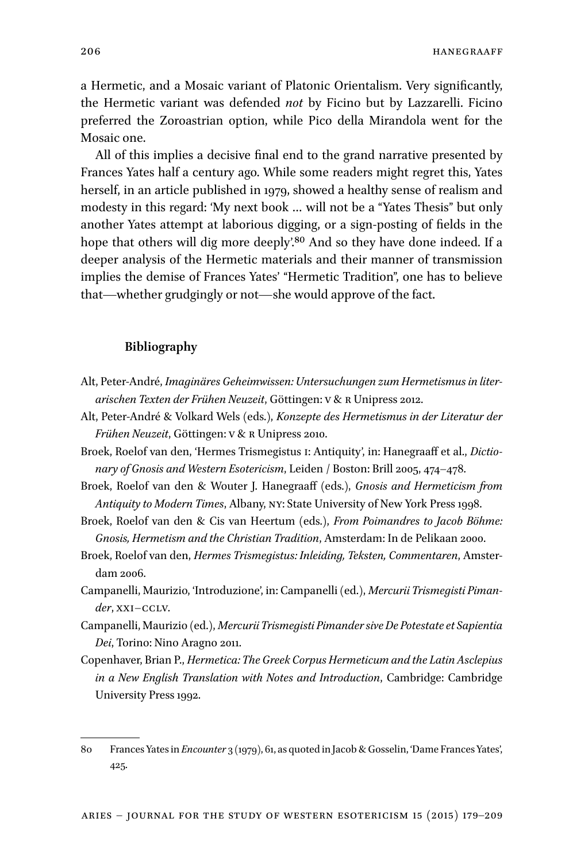a Hermetic, and a Mosaic variant of Platonic Orientalism. Very significantly, the Hermetic variant was defended *not* by Ficino but by Lazzarelli. Ficino preferred the Zoroastrian option, while Pico della Mirandola went for the Mosaic one.

All of this implies a decisive final end to the grand narrative presented by Frances Yates half a century ago. While some readers might regret this, Yates herself, in an article published in 1979, showed a healthy sense of realism and modesty in this regard: 'My next book … will not be a "Yates Thesis" but only another Yates attempt at laborious digging, or a sign-posting of fields in the hope that others will dig more deeply'.<sup>80</sup> And so they have done indeed. If a deeper analysis of the Hermetic materials and their manner of transmission implies the demise of Frances Yates' "Hermetic Tradition", one has to believe that—whether grudgingly or not—she would approve of the fact.

#### **Bibliography**

- Alt, Peter-André, *Imaginäres Geheimwissen: Untersuchungen zum Hermetismus in literarischen Texten der Frühen Neuzeit*, Göttingen: v & r Unipress 2012.
- Alt, Peter-André & Volkard Wels (eds.), *Konzepte des Hermetismus in der Literatur der Frühen Neuzeit*, Göttingen: v & r Unipress 2010.
- Broek, Roelof van den, 'Hermes Trismegistus i: Antiquity', in: Hanegraaff et al., *Dictionary of Gnosis and Western Esotericism*, Leiden / Boston: Brill 2005, 474–478.
- Broek, Roelof van den & Wouter J. Hanegraaff (eds.), *Gnosis and Hermeticism from Antiquity to Modern Times*, Albany, ny: State University of New York Press 1998.
- Broek, Roelof van den & Cis van Heertum (eds.), *From Poimandres to Jacob Böhme: Gnosis, Hermetism and the Christian Tradition*, Amsterdam: In de Pelikaan 2000.
- Broek, Roelof van den, *Hermes Trismegistus: Inleiding, Teksten, Commentaren*, Amsterdam 2006.
- Campanelli, Maurizio, 'Introduzione', in: Campanelli (ed.), *Mercurii Trismegisti Pimander*, xxi–cclv.
- Campanelli, Maurizio (ed.), *Mercurii Trismegisti Pimander sive De Potestate et Sapientia Dei*, Torino: Nino Aragno 2011.
- Copenhaver, Brian P., *Hermetica: The Greek Corpus Hermeticum and the Latin Asclepius in a New English Translation with Notes and Introduction*, Cambridge: Cambridge University Press 1992.

<sup>80</sup> Frances Yates in *Encounter* 3 (1979), 61, as quoted inJacob & Gosselin, 'Dame Frances Yates', 425.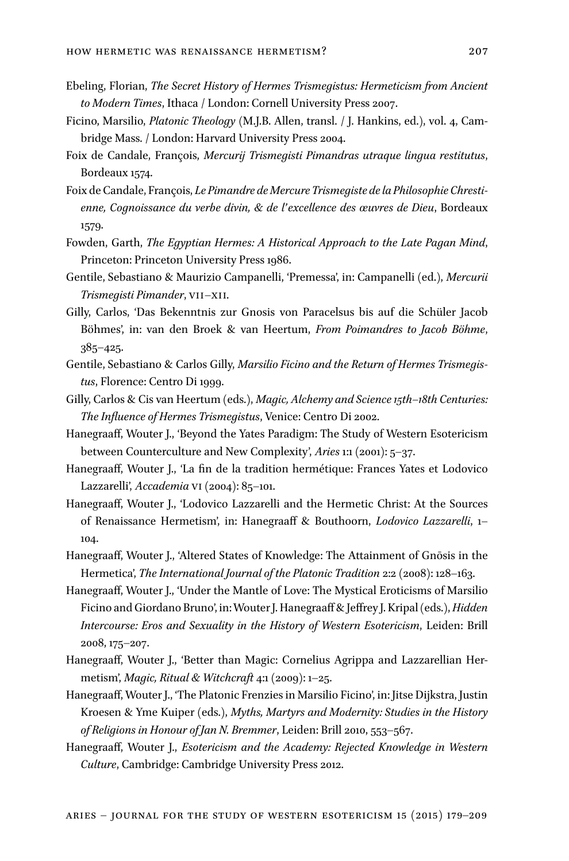- Ebeling, Florian, *The Secret History of Hermes Trismegistus: Hermeticism from Ancient to Modern Times*, Ithaca / London: Cornell University Press 2007.
- Ficino, Marsilio, *Platonic Theology* (M.J.B. Allen, transl. / J. Hankins, ed.), vol. 4, Cambridge Mass. / London: Harvard University Press 2004.
- Foix de Candale, François, *Mercurij Trismegisti Pimandras utraque lingua restitutus*, Bordeaux 1574.
- Foix de Candale, François, *Le Pimandre de Mercure Trismegiste de la Philosophie Chrestienne, Cognoissance du verbe divin, & de l' excellence des œuvres de Dieu*, Bordeaux 1579.
- Fowden, Garth, *The Egyptian Hermes: A Historical Approach to the Late Pagan Mind*, Princeton: Princeton University Press 1986.
- Gentile, Sebastiano & Maurizio Campanelli, 'Premessa', in: Campanelli (ed.), *Mercurii Trismegisti Pimander*, vii–xii.
- Gilly, Carlos, 'Das Bekenntnis zur Gnosis von Paracelsus bis auf die Schüler Jacob Böhmes', in: van den Broek & van Heertum, *From Poimandres to Jacob Böhme*, 385–425.
- Gentile, Sebastiano & Carlos Gilly, *Marsilio Ficino and the Return of Hermes Trismegistus*, Florence: Centro Di 1999.
- Gilly, Carlos & Cis van Heertum (eds.), *Magic, Alchemy and Science 15th–18th Centuries: The Influence of Hermes Trismegistus*, Venice: Centro Di 2002.
- Hanegraaff, Wouter J., 'Beyond the Yates Paradigm: The Study of Western Esotericism between Counterculture and New Complexity', *Aries* 1:1 (2001): 5–37.
- Hanegraaff, Wouter J., 'La fin de la tradition hermétique: Frances Yates et Lodovico Lazzarelli', *Accademia* vi (2004): 85–101.
- Hanegraaff, Wouter J., 'Lodovico Lazzarelli and the Hermetic Christ: At the Sources of Renaissance Hermetism', in: Hanegraaff & Bouthoorn, *Lodovico Lazzarelli*, 1– 104.
- Hanegraaff, Wouter J., 'Altered States of Knowledge: The Attainment of Gnōsis in the Hermetica', *The International Journal of the Platonic Tradition* 2:2 (2008): 128–163.
- Hanegraaff, Wouter J., 'Under the Mantle of Love: The Mystical Eroticisms of Marsilio Ficino and Giordano Bruno', in:WouterJ. Hanegraaff &JeffreyJ. Kripal (eds.), *Hidden Intercourse: Eros and Sexuality in the History of Western Esotericism*, Leiden: Brill 2008, 175–207.
- Hanegraaff, Wouter J., 'Better than Magic: Cornelius Agrippa and Lazzarellian Hermetism', *Magic, Ritual & Witchcraft* 4:1 (2009): 1–25.
- Hanegraaff, Wouter J., 'The Platonic Frenzies in Marsilio Ficino', in: Jitse Dijkstra, Justin Kroesen & Yme Kuiper (eds.), *Myths, Martyrs and Modernity: Studies in the History of Religions in Honour of Jan N. Bremmer*, Leiden: Brill 2010, 553–567.
- Hanegraaff, Wouter J., *Esotericism and the Academy: Rejected Knowledge in Western Culture*, Cambridge: Cambridge University Press 2012.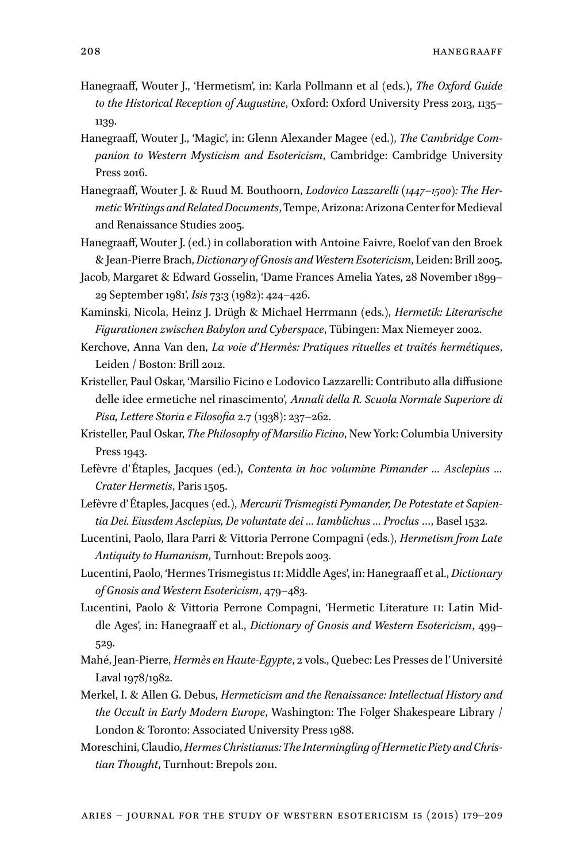- Hanegraaff, Wouter J., 'Hermetism', in: Karla Pollmann et al (eds.), *The Oxford Guide to the Historical Reception of Augustine*, Oxford: Oxford University Press 2013, 1135– 1139.
- Hanegraaff, Wouter J., 'Magic', in: Glenn Alexander Magee (ed.), *The Cambridge Companion to Western Mysticism and Esotericism*, Cambridge: Cambridge University Press 2016.
- Hanegraaff, Wouter J. & Ruud M. Bouthoorn, *Lodovico Lazzarelli (1447–1500): The HermeticWritings and RelatedDocuments*, Tempe, Arizona: Arizona Centerfor Medieval and Renaissance Studies 2005.
- Hanegraaff, Wouter J. (ed.) in collaboration with Antoine Faivre, Roelof van den Broek & Jean-Pierre Brach, *Dictionary of Gnosis and Western Esotericism*, Leiden: Brill 2005.
- Jacob, Margaret & Edward Gosselin, 'Dame Frances Amelia Yates, 28 November 1899– 29 September 1981', *Isis* 73:3 (1982): 424–426.
- Kaminski, Nicola, Heinz J. Drügh & Michael Herrmann (eds.), *Hermetik: Literarische Figurationen zwischen Babylon und Cyberspace*, Tübingen: Max Niemeyer 2002.
- Kerchove, Anna Van den, *La voie d'Hermès: Pratiques rituelles et traités hermétiques*, Leiden / Boston: Brill 2012.
- Kristeller, Paul Oskar, 'Marsilio Ficino e Lodovico Lazzarelli: Contributo alla diffusione delle idee ermetiche nel rinascimento', *Annali della R. Scuola Normale Superiore di Pisa, Lettere Storia e Filosofia* 2.7 (1938): 237–262.
- Kristeller, Paul Oskar, *The Philosophy of Marsilio Ficino*, New York: Columbia University Press 1943.
- Lefèvre d'Étaples, Jacques (ed.), *Contenta in hoc volumine Pimander … Asclepius … Crater Hermetis*, Paris 1505.
- Lefèvre d'Étaples, Jacques (ed.), *Mercurii Trismegisti Pymander, De Potestate et Sapientia Dei. Eiusdem Asclepius, De voluntate dei … Iamblichus … Proclus* …, Basel 1532.
- Lucentini, Paolo, Ilara Parri & Vittoria Perrone Compagni (eds.), *Hermetism from Late Antiquity to Humanism*, Turnhout: Brepols 2003.
- Lucentini, Paolo, 'Hermes Trismegistus II: Middle Ages', in: Hanegraaff et al., *Dictionary of Gnosis and Western Esotericism*, 479–483.
- Lucentini, Paolo & Vittoria Perrone Compagni, 'Hermetic Literature II: Latin Middle Ages', in: Hanegraaff et al., *Dictionary of Gnosis and Western Esotericism*, 499– 529.
- Mahé, Jean-Pierre, *Hermès en Haute-Egypte*, 2 vols., Quebec: Les Presses de l'Université Laval 1978/1982.
- Merkel, I. & Allen G. Debus, *Hermeticism and the Renaissance: Intellectual History and the Occult in Early Modern Europe*, Washington: The Folger Shakespeare Library / London & Toronto: Associated University Press 1988.
- Moreschini, Claudio, *Hermes Christianus: The Intermingling of Hermetic Piety and Christian Thought*, Turnhout: Brepols 2011.